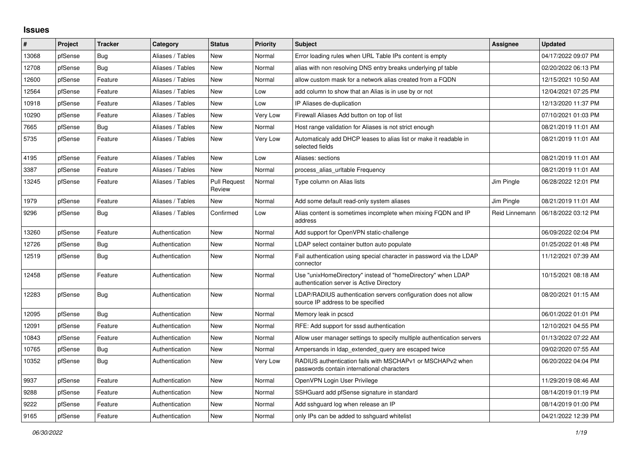## **Issues**

| #     | Project | <b>Tracker</b> | Category         | <b>Status</b>                 | <b>Priority</b> | <b>Subject</b>                                                                                            | Assignee       | <b>Updated</b>      |
|-------|---------|----------------|------------------|-------------------------------|-----------------|-----------------------------------------------------------------------------------------------------------|----------------|---------------------|
| 13068 | pfSense | Bug            | Aliases / Tables | <b>New</b>                    | Normal          | Error loading rules when URL Table IPs content is empty                                                   |                | 04/17/2022 09:07 PM |
| 12708 | pfSense | Bug            | Aliases / Tables | New                           | Normal          | alias with non resolving DNS entry breaks underlying pf table                                             |                | 02/20/2022 06:13 PM |
| 12600 | pfSense | Feature        | Aliases / Tables | New                           | Normal          | allow custom mask for a network alias created from a FQDN                                                 |                | 12/15/2021 10:50 AM |
| 12564 | pfSense | Feature        | Aliases / Tables | <b>New</b>                    | Low             | add column to show that an Alias is in use by or not                                                      |                | 12/04/2021 07:25 PM |
| 10918 | pfSense | Feature        | Aliases / Tables | <b>New</b>                    | Low             | IP Aliases de-duplication                                                                                 |                | 12/13/2020 11:37 PM |
| 10290 | pfSense | Feature        | Aliases / Tables | New                           | Very Low        | Firewall Aliases Add button on top of list                                                                |                | 07/10/2021 01:03 PM |
| 7665  | pfSense | Bug            | Aliases / Tables | <b>New</b>                    | Normal          | Host range validation for Aliases is not strict enough                                                    |                | 08/21/2019 11:01 AM |
| 5735  | pfSense | Feature        | Aliases / Tables | <b>New</b>                    | Very Low        | Automaticaly add DHCP leases to alias list or make it readable in<br>selected fields                      |                | 08/21/2019 11:01 AM |
| 4195  | pfSense | Feature        | Aliases / Tables | <b>New</b>                    | Low             | Aliases: sections                                                                                         |                | 08/21/2019 11:01 AM |
| 3387  | pfSense | Feature        | Aliases / Tables | New                           | Normal          | process alias urltable Frequency                                                                          |                | 08/21/2019 11:01 AM |
| 13245 | pfSense | Feature        | Aliases / Tables | <b>Pull Request</b><br>Review | Normal          | Type column on Alias lists                                                                                | Jim Pingle     | 06/28/2022 12:01 PM |
| 1979  | pfSense | Feature        | Aliases / Tables | <b>New</b>                    | Normal          | Add some default read-only system aliases                                                                 | Jim Pingle     | 08/21/2019 11:01 AM |
| 9296  | pfSense | Bug            | Aliases / Tables | Confirmed                     | Low             | Alias content is sometimes incomplete when mixing FQDN and IP<br>address                                  | Reid Linnemann | 06/18/2022 03:12 PM |
| 13260 | pfSense | Feature        | Authentication   | <b>New</b>                    | Normal          | Add support for OpenVPN static-challenge                                                                  |                | 06/09/2022 02:04 PM |
| 12726 | pfSense | Bug            | Authentication   | <b>New</b>                    | Normal          | LDAP select container button auto populate                                                                |                | 01/25/2022 01:48 PM |
| 12519 | pfSense | Bug            | Authentication   | <b>New</b>                    | Normal          | Fail authentication using special character in password via the LDAP<br>connector                         |                | 11/12/2021 07:39 AM |
| 12458 | pfSense | Feature        | Authentication   | <b>New</b>                    | Normal          | Use "unixHomeDirectory" instead of "homeDirectory" when LDAP<br>authentication server is Active Directory |                | 10/15/2021 08:18 AM |
| 12283 | pfSense | Bug            | Authentication   | New                           | Normal          | LDAP/RADIUS authentication servers configuration does not allow<br>source IP address to be specified      |                | 08/20/2021 01:15 AM |
| 12095 | pfSense | Bug            | Authentication   | <b>New</b>                    | Normal          | Memory leak in pcscd                                                                                      |                | 06/01/2022 01:01 PM |
| 12091 | pfSense | Feature        | Authentication   | <b>New</b>                    | Normal          | RFE: Add support for sssd authentication                                                                  |                | 12/10/2021 04:55 PM |
| 10843 | pfSense | Feature        | Authentication   | <b>New</b>                    | Normal          | Allow user manager settings to specify multiple authentication servers                                    |                | 01/13/2022 07:22 AM |
| 10765 | pfSense | <b>Bug</b>     | Authentication   | <b>New</b>                    | Normal          | Ampersands in Idap extended query are escaped twice                                                       |                | 09/02/2020 07:55 AM |
| 10352 | pfSense | Bug            | Authentication   | <b>New</b>                    | Very Low        | RADIUS authentication fails with MSCHAPv1 or MSCHAPv2 when<br>passwords contain international characters  |                | 06/20/2022 04:04 PM |
| 9937  | pfSense | Feature        | Authentication   | <b>New</b>                    | Normal          | OpenVPN Login User Privilege                                                                              |                | 11/29/2019 08:46 AM |
| 9288  | pfSense | Feature        | Authentication   | <b>New</b>                    | Normal          | SSHGuard add pfSense signature in standard                                                                |                | 08/14/2019 01:19 PM |
| 9222  | pfSense | Feature        | Authentication   | <b>New</b>                    | Normal          | Add sshguard log when release an IP                                                                       |                | 08/14/2019 01:00 PM |
| 9165  | pfSense | Feature        | Authentication   | New                           | Normal          | only IPs can be added to sshquard whitelist                                                               |                | 04/21/2022 12:39 PM |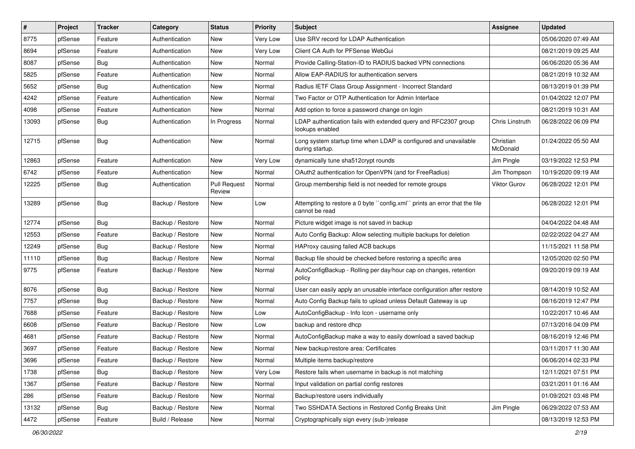| $\vert$ # | Project | Tracker    | Category         | <b>Status</b>                 | <b>Priority</b> | Subject                                                                                     | Assignee              | <b>Updated</b>      |
|-----------|---------|------------|------------------|-------------------------------|-----------------|---------------------------------------------------------------------------------------------|-----------------------|---------------------|
| 8775      | pfSense | Feature    | Authentication   | New                           | Very Low        | Use SRV record for LDAP Authentication                                                      |                       | 05/06/2020 07:49 AM |
| 8694      | pfSense | Feature    | Authentication   | New                           | Very Low        | Client CA Auth for PFSense WebGui                                                           |                       | 08/21/2019 09:25 AM |
| 8087      | pfSense | Bug        | Authentication   | New                           | Normal          | Provide Calling-Station-ID to RADIUS backed VPN connections                                 |                       | 06/06/2020 05:36 AM |
| 5825      | pfSense | Feature    | Authentication   | New                           | Normal          | Allow EAP-RADIUS for authentication servers                                                 |                       | 08/21/2019 10:32 AM |
| 5652      | pfSense | Bug        | Authentication   | <b>New</b>                    | Normal          | Radius IETF Class Group Assignment - Incorrect Standard                                     |                       | 08/13/2019 01:39 PM |
| 4242      | pfSense | Feature    | Authentication   | New                           | Normal          | Two Factor or OTP Authentication for Admin Interface                                        |                       | 01/04/2022 12:07 PM |
| 4098      | pfSense | Feature    | Authentication   | New                           | Normal          | Add option to force a password change on login                                              |                       | 08/21/2019 10:31 AM |
| 13093     | pfSense | <b>Bug</b> | Authentication   | In Progress                   | Normal          | LDAP authentication fails with extended query and RFC2307 group<br>lookups enabled          | Chris Linstruth       | 06/28/2022 06:09 PM |
| 12715     | pfSense | Bug        | Authentication   | New                           | Normal          | Long system startup time when LDAP is configured and unavailable<br>during startup.         | Christian<br>McDonald | 01/24/2022 05:50 AM |
| 12863     | pfSense | Feature    | Authentication   | New                           | Very Low        | dynamically tune sha512crypt rounds                                                         | Jim Pingle            | 03/19/2022 12:53 PM |
| 6742      | pfSense | Feature    | Authentication   | New                           | Normal          | OAuth2 authentication for OpenVPN (and for FreeRadius)                                      | Jim Thompson          | 10/19/2020 09:19 AM |
| 12225     | pfSense | <b>Bug</b> | Authentication   | <b>Pull Request</b><br>Review | Normal          | Group membership field is not needed for remote groups                                      | Viktor Gurov          | 06/28/2022 12:01 PM |
| 13289     | pfSense | Bug        | Backup / Restore | New                           | Low             | Attempting to restore a 0 byte "config.xml" prints an error that the file<br>cannot be read |                       | 06/28/2022 12:01 PM |
| 12774     | pfSense | Bug        | Backup / Restore | <b>New</b>                    | Normal          | Picture widget image is not saved in backup                                                 |                       | 04/04/2022 04:48 AM |
| 12553     | pfSense | Feature    | Backup / Restore | New                           | Normal          | Auto Config Backup: Allow selecting multiple backups for deletion                           |                       | 02/22/2022 04:27 AM |
| 12249     | pfSense | Bug        | Backup / Restore | New                           | Normal          | HAProxy causing failed ACB backups                                                          |                       | 11/15/2021 11:58 PM |
| 11110     | pfSense | <b>Bug</b> | Backup / Restore | <b>New</b>                    | Normal          | Backup file should be checked before restoring a specific area                              |                       | 12/05/2020 02:50 PM |
| 9775      | pfSense | Feature    | Backup / Restore | New                           | Normal          | AutoConfigBackup - Rolling per day/hour cap on changes, retention<br>policy                 |                       | 09/20/2019 09:19 AM |
| 8076      | pfSense | <b>Bug</b> | Backup / Restore | New                           | Normal          | User can easily apply an unusable interface configuration after restore                     |                       | 08/14/2019 10:52 AM |
| 7757      | pfSense | Bug        | Backup / Restore | New                           | Normal          | Auto Config Backup fails to upload unless Default Gateway is up                             |                       | 08/16/2019 12:47 PM |
| 7688      | pfSense | Feature    | Backup / Restore | New                           | Low             | AutoConfigBackup - Info Icon - username only                                                |                       | 10/22/2017 10:46 AM |
| 6608      | pfSense | Feature    | Backup / Restore | New                           | Low             | backup and restore dhcp                                                                     |                       | 07/13/2016 04:09 PM |
| 4681      | pfSense | Feature    | Backup / Restore | New                           | Normal          | AutoConfigBackup make a way to easily download a saved backup                               |                       | 08/16/2019 12:46 PM |
| 3697      | pfSense | Feature    | Backup / Restore | New                           | Normal          | New backup/restore area: Certificates                                                       |                       | 03/11/2017 11:30 AM |
| 3696      | pfSense | Feature    | Backup / Restore | New                           | Normal          | Multiple items backup/restore                                                               |                       | 06/06/2014 02:33 PM |
| 1738      | pfSense | Bug        | Backup / Restore | New                           | Very Low        | Restore fails when username in backup is not matching                                       |                       | 12/11/2021 07:51 PM |
| 1367      | pfSense | Feature    | Backup / Restore | New                           | Normal          | Input validation on partial config restores                                                 |                       | 03/21/2011 01:16 AM |
| 286       | pfSense | Feature    | Backup / Restore | New                           | Normal          | Backup/restore users individually                                                           |                       | 01/09/2021 03:48 PM |
| 13132     | pfSense | <b>Bug</b> | Backup / Restore | New                           | Normal          | Two SSHDATA Sections in Restored Config Breaks Unit                                         | Jim Pingle            | 06/29/2022 07:53 AM |
| 4472      | pfSense | Feature    | Build / Release  | New                           | Normal          | Cryptographically sign every (sub-)release                                                  |                       | 08/13/2019 12:53 PM |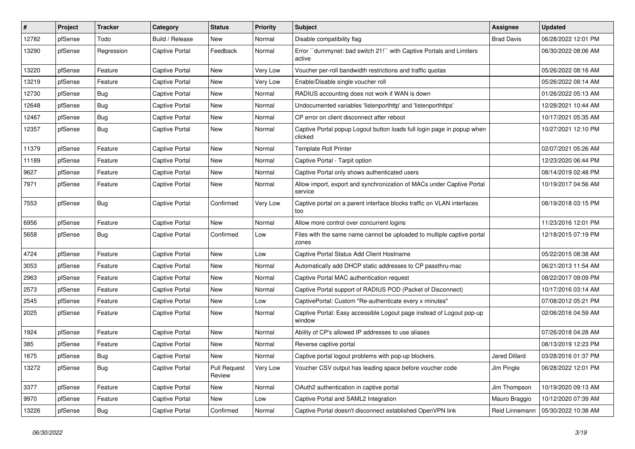| #     | Project | Tracker    | Category              | <b>Status</b>                 | <b>Priority</b> | Subject                                                                           | <b>Assignee</b>   | <b>Updated</b>      |
|-------|---------|------------|-----------------------|-------------------------------|-----------------|-----------------------------------------------------------------------------------|-------------------|---------------------|
| 12782 | pfSense | Todo       | Build / Release       | New                           | Normal          | Disable compatibility flag                                                        | <b>Brad Davis</b> | 06/28/2022 12:01 PM |
| 13290 | pfSense | Regression | Captive Portal        | Feedback                      | Normal          | Error "dummynet: bad switch 21!" with Captive Portals and Limiters<br>active      |                   | 06/30/2022 08:06 AM |
| 13220 | pfSense | Feature    | <b>Captive Portal</b> | New                           | Very Low        | Voucher per-roll bandwidth restrictions and traffic quotas                        |                   | 05/26/2022 08:16 AM |
| 13219 | pfSense | Feature    | <b>Captive Portal</b> | New                           | Very Low        | Enable/Disable single voucher roll                                                |                   | 05/26/2022 08:14 AM |
| 12730 | pfSense | Bug        | Captive Portal        | New                           | Normal          | RADIUS accounting does not work if WAN is down                                    |                   | 01/26/2022 05:13 AM |
| 12648 | pfSense | Bug        | <b>Captive Portal</b> | New                           | Normal          | Undocumented variables 'listenporthttp' and 'listenporthttps'                     |                   | 12/28/2021 10:44 AM |
| 12467 | pfSense | Bug        | <b>Captive Portal</b> | New                           | Normal          | CP error on client disconnect after reboot                                        |                   | 10/17/2021 05:35 AM |
| 12357 | pfSense | Bug        | <b>Captive Portal</b> | New                           | Normal          | Captive Portal popup Logout button loads full login page in popup when<br>clicked |                   | 10/27/2021 12:10 PM |
| 11379 | pfSense | Feature    | Captive Portal        | New                           | Normal          | <b>Template Roll Printer</b>                                                      |                   | 02/07/2021 05:26 AM |
| 11189 | pfSense | Feature    | <b>Captive Portal</b> | New                           | Normal          | Captive Portal - Tarpit option                                                    |                   | 12/23/2020 06:44 PM |
| 9627  | pfSense | Feature    | <b>Captive Portal</b> | New                           | Normal          | Captive Portal only shows authenticated users                                     |                   | 08/14/2019 02:48 PM |
| 7971  | pfSense | Feature    | <b>Captive Portal</b> | New                           | Normal          | Allow import, export and synchronization of MACs under Captive Portal<br>service  |                   | 10/19/2017 04:56 AM |
| 7553  | pfSense | Bug        | <b>Captive Portal</b> | Confirmed                     | Very Low        | Captive portal on a parent interface blocks traffic on VLAN interfaces<br>too     |                   | 08/19/2018 03:15 PM |
| 6956  | pfSense | Feature    | <b>Captive Portal</b> | <b>New</b>                    | Normal          | Allow more control over concurrent logins                                         |                   | 11/23/2016 12:01 PM |
| 5658  | pfSense | Bug        | <b>Captive Portal</b> | Confirmed                     | Low             | Files with the same name cannot be uploaded to multiple captive portal<br>zones   |                   | 12/18/2015 07:19 PM |
| 4724  | pfSense | Feature    | <b>Captive Portal</b> | New                           | Low             | Captive Portal Status Add Client Hostname                                         |                   | 05/22/2015 08:38 AM |
| 3053  | pfSense | Feature    | Captive Portal        | New                           | Normal          | Automatically add DHCP static addresses to CP passthru-mac                        |                   | 06/21/2013 11:54 AM |
| 2963  | pfSense | Feature    | <b>Captive Portal</b> | New                           | Normal          | Captive Portal MAC authentication request                                         |                   | 08/22/2017 09:09 PM |
| 2573  | pfSense | Feature    | <b>Captive Portal</b> | New                           | Normal          | Captive Portal support of RADIUS POD (Packet of Disconnect)                       |                   | 10/17/2016 03:14 AM |
| 2545  | pfSense | Feature    | <b>Captive Portal</b> | New                           | Low             | CaptivePortal: Custom "Re-authenticate every x minutes"                           |                   | 07/08/2012 05:21 PM |
| 2025  | pfSense | Feature    | <b>Captive Portal</b> | New                           | Normal          | Captive Portal: Easy accessible Logout page instead of Logout pop-up<br>window    |                   | 02/06/2016 04:59 AM |
| 1924  | pfSense | Feature    | <b>Captive Portal</b> | New                           | Normal          | Ability of CP's allowed IP addresses to use aliases                               |                   | 07/26/2018 04:28 AM |
| 385   | pfSense | Feature    | <b>Captive Portal</b> | <b>New</b>                    | Normal          | Reverse captive portal                                                            |                   | 08/13/2019 12:23 PM |
| 1675  | pfSense | <b>Bug</b> | Captive Portal        | New                           | Normal          | Captive portal logout problems with pop-up blockers.                              | Jared Dillard     | 03/28/2016 01:37 PM |
| 13272 | pfSense | Bug        | Captive Portal        | <b>Pull Request</b><br>Review | Very Low        | Voucher CSV output has leading space before voucher code                          | Jim Pingle        | 06/28/2022 12:01 PM |
| 3377  | pfSense | Feature    | Captive Portal        | New                           | Normal          | OAuth2 authentication in captive portal                                           | Jim Thompson      | 10/19/2020 09:13 AM |
| 9970  | pfSense | Feature    | <b>Captive Portal</b> | New                           | Low             | Captive Portal and SAML2 Integration                                              | Mauro Braggio     | 10/12/2020 07:39 AM |
| 13226 | pfSense | <b>Bug</b> | Captive Portal        | Confirmed                     | Normal          | Captive Portal doesn't disconnect established OpenVPN link                        | Reid Linnemann    | 05/30/2022 10:38 AM |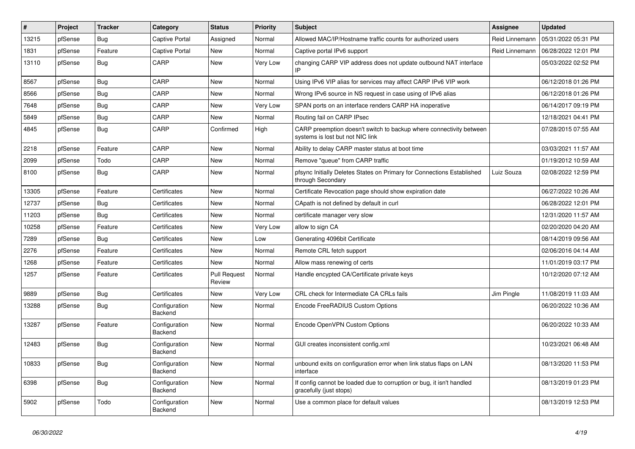| #     | Project | <b>Tracker</b> | Category                 | <b>Status</b>                 | <b>Priority</b> | <b>Subject</b>                                                                                          | <b>Assignee</b> | <b>Updated</b>      |
|-------|---------|----------------|--------------------------|-------------------------------|-----------------|---------------------------------------------------------------------------------------------------------|-----------------|---------------------|
| 13215 | pfSense | Bug            | <b>Captive Portal</b>    | Assigned                      | Normal          | Allowed MAC/IP/Hostname traffic counts for authorized users                                             | Reid Linnemann  | 05/31/2022 05:31 PM |
| 1831  | pfSense | Feature        | <b>Captive Portal</b>    | New                           | Normal          | Captive portal IPv6 support                                                                             | Reid Linnemann  | 06/28/2022 12:01 PM |
| 13110 | pfSense | Bug            | CARP                     | New                           | Very Low        | changing CARP VIP address does not update outbound NAT interface                                        |                 | 05/03/2022 02:52 PM |
| 8567  | pfSense | Bug            | CARP                     | <b>New</b>                    | Normal          | Using IPv6 VIP alias for services may affect CARP IPv6 VIP work                                         |                 | 06/12/2018 01:26 PM |
| 8566  | pfSense | Bug            | CARP                     | New                           | Normal          | Wrong IPv6 source in NS request in case using of IPv6 alias                                             |                 | 06/12/2018 01:26 PM |
| 7648  | pfSense | Bug            | CARP                     | New                           | Very Low        | SPAN ports on an interface renders CARP HA inoperative                                                  |                 | 06/14/2017 09:19 PM |
| 5849  | pfSense | <b>Bug</b>     | CARP                     | New                           | Normal          | Routing fail on CARP IPsec                                                                              |                 | 12/18/2021 04:41 PM |
| 4845  | pfSense | <b>Bug</b>     | CARP                     | Confirmed                     | High            | CARP preemption doesn't switch to backup where connectivity between<br>systems is lost but not NIC link |                 | 07/28/2015 07:55 AM |
| 2218  | pfSense | Feature        | CARP                     | <b>New</b>                    | Normal          | Ability to delay CARP master status at boot time                                                        |                 | 03/03/2021 11:57 AM |
| 2099  | pfSense | Todo           | CARP                     | New                           | Normal          | Remove "queue" from CARP traffic                                                                        |                 | 01/19/2012 10:59 AM |
| 8100  | pfSense | <b>Bug</b>     | CARP                     | New                           | Normal          | pfsync Initially Deletes States on Primary for Connections Established<br>through Secondary             | Luiz Souza      | 02/08/2022 12:59 PM |
| 13305 | pfSense | Feature        | Certificates             | New                           | Normal          | Certificate Revocation page should show expiration date                                                 |                 | 06/27/2022 10:26 AM |
| 12737 | pfSense | <b>Bug</b>     | Certificates             | New                           | Normal          | CApath is not defined by default in curl                                                                |                 | 06/28/2022 12:01 PM |
| 11203 | pfSense | Bug            | Certificates             | New                           | Normal          | certificate manager very slow                                                                           |                 | 12/31/2020 11:57 AM |
| 10258 | pfSense | Feature        | Certificates             | New                           | Very Low        | allow to sign CA                                                                                        |                 | 02/20/2020 04:20 AM |
| 7289  | pfSense | Bug            | Certificates             | New                           | Low             | Generating 4096bit Certificate                                                                          |                 | 08/14/2019 09:56 AM |
| 2276  | pfSense | Feature        | Certificates             | New                           | Normal          | Remote CRL fetch support                                                                                |                 | 02/06/2016 04:14 AM |
| 1268  | pfSense | Feature        | Certificates             | New                           | Normal          | Allow mass renewing of certs                                                                            |                 | 11/01/2019 03:17 PM |
| 1257  | pfSense | Feature        | Certificates             | <b>Pull Request</b><br>Review | Normal          | Handle encypted CA/Certificate private keys                                                             |                 | 10/12/2020 07:12 AM |
| 9889  | pfSense | <b>Bug</b>     | Certificates             | New                           | Very Low        | CRL check for Intermediate CA CRLs fails                                                                | Jim Pingle      | 11/08/2019 11:03 AM |
| 13288 | pfSense | <b>Bug</b>     | Configuration<br>Backend | New                           | Normal          | Encode FreeRADIUS Custom Options                                                                        |                 | 06/20/2022 10:36 AM |
| 13287 | pfSense | Feature        | Configuration<br>Backend | New                           | Normal          | Encode OpenVPN Custom Options                                                                           |                 | 06/20/2022 10:33 AM |
| 12483 | pfSense | Bug            | Configuration<br>Backend | New                           | Normal          | GUI creates inconsistent config.xml                                                                     |                 | 10/23/2021 06:48 AM |
| 10833 | pfSense | <b>Bug</b>     | Configuration<br>Backend | New                           | Normal          | unbound exits on configuration error when link status flaps on LAN<br>interface                         |                 | 08/13/2020 11:53 PM |
| 6398  | pfSense | Bug            | Configuration<br>Backend | New                           | Normal          | If config cannot be loaded due to corruption or bug, it isn't handled<br>gracefully (just stops)        |                 | 08/13/2019 01:23 PM |
| 5902  | pfSense | Todo           | Configuration<br>Backend | New                           | Normal          | Use a common place for default values                                                                   |                 | 08/13/2019 12:53 PM |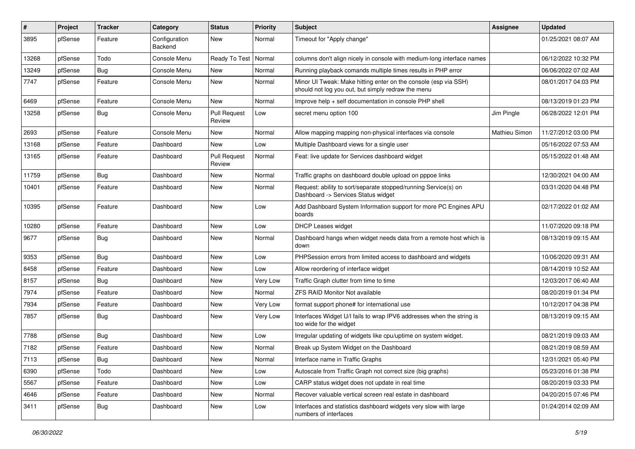| #     | Project | <b>Tracker</b> | Category                 | <b>Status</b>                 | <b>Priority</b> | Subject                                                                                                               | Assignee      | <b>Updated</b>      |
|-------|---------|----------------|--------------------------|-------------------------------|-----------------|-----------------------------------------------------------------------------------------------------------------------|---------------|---------------------|
| 3895  | pfSense | Feature        | Configuration<br>Backend | New                           | Normal          | Timeout for "Apply change"                                                                                            |               | 01/25/2021 08:07 AM |
| 13268 | pfSense | Todo           | Console Menu             | Ready To Test                 | Normal          | columns don't align nicely in console with medium-long interface names                                                |               | 06/12/2022 10:32 PM |
| 13249 | pfSense | Bug            | Console Menu             | New                           | Normal          | Running playback comands multiple times results in PHP error                                                          |               | 06/06/2022 07:02 AM |
| 7747  | pfSense | Feature        | Console Menu             | New                           | Normal          | Minor UI Tweak: Make hitting enter on the console (esp via SSH)<br>should not log you out, but simply redraw the menu |               | 08/01/2017 04:03 PM |
| 6469  | pfSense | Feature        | Console Menu             | New                           | Normal          | Improve help + self documentation in console PHP shell                                                                |               | 08/13/2019 01:23 PM |
| 13258 | pfSense | Bug            | Console Menu             | <b>Pull Request</b><br>Review | Low             | secret menu option 100                                                                                                | Jim Pingle    | 06/28/2022 12:01 PM |
| 2693  | pfSense | Feature        | Console Menu             | New                           | Normal          | Allow mapping mapping non-physical interfaces via console                                                             | Mathieu Simon | 11/27/2012 03:00 PM |
| 13168 | pfSense | Feature        | Dashboard                | New                           | Low             | Multiple Dashboard views for a single user                                                                            |               | 05/16/2022 07:53 AM |
| 13165 | pfSense | Feature        | Dashboard                | <b>Pull Request</b><br>Review | Normal          | Feat: live update for Services dashboard widget                                                                       |               | 05/15/2022 01:48 AM |
| 11759 | pfSense | Bug            | Dashboard                | New                           | Normal          | Traffic graphs on dashboard double upload on pppoe links                                                              |               | 12/30/2021 04:00 AM |
| 10401 | pfSense | Feature        | Dashboard                | New                           | Normal          | Request: ability to sort/separate stopped/running Service(s) on<br>Dashboard -> Services Status widget                |               | 03/31/2020 04:48 PM |
| 10395 | pfSense | Feature        | Dashboard                | New                           | Low             | Add Dashboard System Information support for more PC Engines APU<br>boards                                            |               | 02/17/2022 01:02 AM |
| 10280 | pfSense | Feature        | Dashboard                | New                           | Low             | <b>DHCP Leases widget</b>                                                                                             |               | 11/07/2020 09:18 PM |
| 9677  | pfSense | Bug            | Dashboard                | New                           | Normal          | Dashboard hangs when widget needs data from a remote host which is<br>down                                            |               | 08/13/2019 09:15 AM |
| 9353  | pfSense | Bug            | Dashboard                | New                           | Low             | PHPSession errors from limited access to dashboard and widgets                                                        |               | 10/06/2020 09:31 AM |
| 8458  | pfSense | Feature        | Dashboard                | New                           | Low             | Allow reordering of interface widget                                                                                  |               | 08/14/2019 10:52 AM |
| 8157  | pfSense | Bug            | Dashboard                | New                           | Very Low        | Traffic Graph clutter from time to time                                                                               |               | 12/03/2017 06:40 AM |
| 7974  | pfSense | Feature        | Dashboard                | New                           | Normal          | <b>ZFS RAID Monitor Not available</b>                                                                                 |               | 08/20/2019 01:34 PM |
| 7934  | pfSense | Feature        | Dashboard                | New                           | Very Low        | format support phone# for international use                                                                           |               | 10/12/2017 04:38 PM |
| 7857  | pfSense | Bug            | Dashboard                | New                           | Very Low        | Interfaces Widget U/I fails to wrap IPV6 addresses when the string is<br>too wide for the widget                      |               | 08/13/2019 09:15 AM |
| 7788  | pfSense | Bug            | Dashboard                | New                           | Low             | Irregular updating of widgets like cpu/uptime on system widget.                                                       |               | 08/21/2019 09:03 AM |
| 7182  | pfSense | Feature        | Dashboard                | New                           | Normal          | Break up System Widget on the Dashboard                                                                               |               | 08/21/2019 08:59 AM |
| 7113  | pfSense | <b>Bug</b>     | Dashboard                | New                           | Normal          | Interface name in Traffic Graphs                                                                                      |               | 12/31/2021 05:40 PM |
| 6390  | pfSense | Todo           | Dashboard                | New                           | Low             | Autoscale from Traffic Graph not correct size (big graphs)                                                            |               | 05/23/2016 01:38 PM |
| 5567  | pfSense | Feature        | Dashboard                | New                           | Low             | CARP status widget does not update in real time                                                                       |               | 08/20/2019 03:33 PM |
| 4646  | pfSense | Feature        | Dashboard                | New                           | Normal          | Recover valuable vertical screen real estate in dashboard                                                             |               | 04/20/2015 07:46 PM |
| 3411  | pfSense | Bug            | Dashboard                | New                           | Low             | Interfaces and statistics dashboard widgets very slow with large<br>numbers of interfaces                             |               | 01/24/2014 02:09 AM |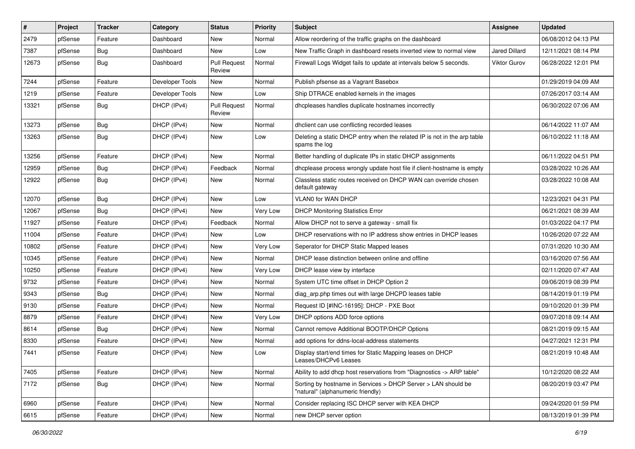| #     | Project | <b>Tracker</b> | Category        | <b>Status</b>                 | <b>Priority</b> | Subject                                                                                            | <b>Assignee</b>      | <b>Updated</b>      |
|-------|---------|----------------|-----------------|-------------------------------|-----------------|----------------------------------------------------------------------------------------------------|----------------------|---------------------|
| 2479  | pfSense | Feature        | Dashboard       | New                           | Normal          | Allow reordering of the traffic graphs on the dashboard                                            |                      | 06/08/2012 04:13 PM |
| 7387  | pfSense | Bug            | Dashboard       | New                           | Low             | New Traffic Graph in dashboard resets inverted view to normal view                                 | <b>Jared Dillard</b> | 12/11/2021 08:14 PM |
| 12673 | pfSense | Bug            | Dashboard       | <b>Pull Request</b><br>Review | Normal          | Firewall Logs Widget fails to update at intervals below 5 seconds.                                 | Viktor Gurov         | 06/28/2022 12:01 PM |
| 7244  | pfSense | Feature        | Developer Tools | New                           | Normal          | Publish pfsense as a Vagrant Basebox                                                               |                      | 01/29/2019 04:09 AM |
| 1219  | pfSense | Feature        | Developer Tools | New                           | Low             | Ship DTRACE enabled kernels in the images                                                          |                      | 07/26/2017 03:14 AM |
| 13321 | pfSense | Bug            | DHCP (IPv4)     | <b>Pull Request</b><br>Review | Normal          | dhcpleases handles duplicate hostnames incorrectly                                                 |                      | 06/30/2022 07:06 AM |
| 13273 | pfSense | <b>Bug</b>     | DHCP (IPv4)     | New                           | Normal          | dhclient can use conflicting recorded leases                                                       |                      | 06/14/2022 11:07 AM |
| 13263 | pfSense | Bug            | DHCP (IPv4)     | New                           | Low             | Deleting a static DHCP entry when the related IP is not in the arp table<br>spams the log          |                      | 06/10/2022 11:18 AM |
| 13256 | pfSense | Feature        | DHCP (IPv4)     | New                           | Normal          | Better handling of duplicate IPs in static DHCP assignments                                        |                      | 06/11/2022 04:51 PM |
| 12959 | pfSense | Bug            | DHCP (IPv4)     | Feedback                      | Normal          | dhcplease process wrongly update host file if client-hostname is empty                             |                      | 03/28/2022 10:26 AM |
| 12922 | pfSense | Bug            | DHCP (IPv4)     | New                           | Normal          | Classless static routes received on DHCP WAN can override chosen<br>default gateway                |                      | 03/28/2022 10:08 AM |
| 12070 | pfSense | Bug            | DHCP (IPv4)     | New                           | Low             | <b>VLAN0 for WAN DHCP</b>                                                                          |                      | 12/23/2021 04:31 PM |
| 12067 | pfSense | Bug            | DHCP (IPv4)     | New                           | Very Low        | <b>DHCP Monitoring Statistics Error</b>                                                            |                      | 06/21/2021 08:39 AM |
| 11927 | pfSense | Feature        | DHCP (IPv4)     | Feedback                      | Normal          | Allow DHCP not to serve a gateway - small fix                                                      |                      | 01/03/2022 04:17 PM |
| 11004 | pfSense | Feature        | DHCP (IPv4)     | New                           | Low             | DHCP reservations with no IP address show entries in DHCP leases                                   |                      | 10/26/2020 07:22 AM |
| 10802 | pfSense | Feature        | DHCP (IPv4)     | New                           | Very Low        | Seperator for DHCP Static Mapped leases                                                            |                      | 07/31/2020 10:30 AM |
| 10345 | pfSense | Feature        | DHCP (IPv4)     | New                           | Normal          | DHCP lease distinction between online and offline                                                  |                      | 03/16/2020 07:56 AM |
| 10250 | pfSense | Feature        | DHCP (IPv4)     | New                           | Very Low        | DHCP lease view by interface                                                                       |                      | 02/11/2020 07:47 AM |
| 9732  | pfSense | Feature        | DHCP (IPv4)     | New                           | Normal          | System UTC time offset in DHCP Option 2                                                            |                      | 09/06/2019 08:39 PM |
| 9343  | pfSense | Bug            | DHCP (IPv4)     | New                           | Normal          | diag arp.php times out with large DHCPD leases table                                               |                      | 08/14/2019 01:19 PM |
| 9130  | pfSense | Feature        | DHCP (IPv4)     | New                           | Normal          | Request ID [#INC-16195]: DHCP - PXE Boot                                                           |                      | 09/10/2020 01:39 PM |
| 8879  | pfSense | Feature        | DHCP (IPv4)     | New                           | Very Low        | DHCP options ADD force options                                                                     |                      | 09/07/2018 09:14 AM |
| 8614  | pfSense | Bug            | DHCP (IPv4)     | New                           | Normal          | Cannot remove Additional BOOTP/DHCP Options                                                        |                      | 08/21/2019 09:15 AM |
| 8330  | pfSense | Feature        | DHCP (IPv4)     | New                           | Normal          | add options for ddns-local-address statements                                                      |                      | 04/27/2021 12:31 PM |
| 7441  | pfSense | Feature        | DHCP (IPv4)     | New                           | Low             | Display start/end times for Static Mapping leases on DHCP<br>Leases/DHCPv6 Leases                  |                      | 08/21/2019 10:48 AM |
| 7405  | pfSense | Feature        | DHCP (IPv4)     | New                           | Normal          | Ability to add dhcp host reservations from "Diagnostics -> ARP table"                              |                      | 10/12/2020 08:22 AM |
| 7172  | pfSense | <b>Bug</b>     | DHCP (IPv4)     | New                           | Normal          | Sorting by hostname in Services > DHCP Server > LAN should be<br>"natural" (alphanumeric friendly) |                      | 08/20/2019 03:47 PM |
| 6960  | pfSense | Feature        | DHCP (IPv4)     | New                           | Normal          | Consider replacing ISC DHCP server with KEA DHCP                                                   |                      | 09/24/2020 01:59 PM |
| 6615  | pfSense | Feature        | DHCP (IPv4)     | New                           | Normal          | new DHCP server option                                                                             |                      | 08/13/2019 01:39 PM |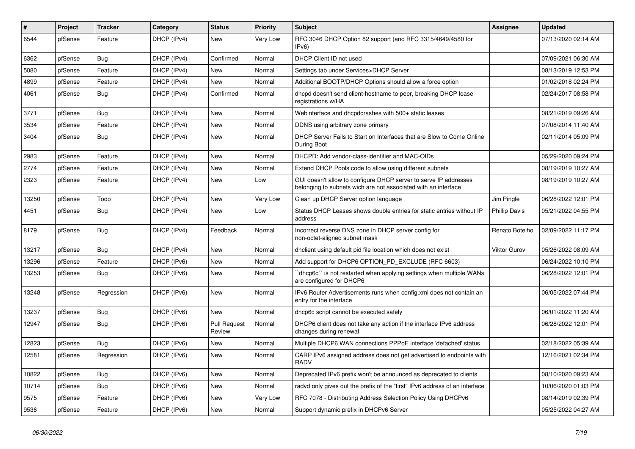| ∦     | <b>Project</b> | <b>Tracker</b> | Category    | <b>Status</b>                 | <b>Priority</b> | <b>Subject</b>                                                                                                                     | <b>Assignee</b>      | <b>Updated</b>      |
|-------|----------------|----------------|-------------|-------------------------------|-----------------|------------------------------------------------------------------------------------------------------------------------------------|----------------------|---------------------|
| 6544  | pfSense        | Feature        | DHCP (IPv4) | New                           | Very Low        | RFC 3046 DHCP Option 82 support (and RFC 3315/4649/4580 for<br>IPv6                                                                |                      | 07/13/2020 02:14 AM |
| 6362  | pfSense        | Bug            | DHCP (IPv4) | Confirmed                     | Normal          | DHCP Client ID not used                                                                                                            |                      | 07/09/2021 06:30 AM |
| 5080  | pfSense        | Feature        | DHCP (IPv4) | New                           | Normal          | Settings tab under Services>DHCP Server                                                                                            |                      | 08/13/2019 12:53 PM |
| 4899  | pfSense        | Feature        | DHCP (IPv4) | New                           | Normal          | Additional BOOTP/DHCP Options should allow a force option                                                                          |                      | 01/02/2018 02:24 PM |
| 4061  | pfSense        | Bug            | DHCP (IPv4) | Confirmed                     | Normal          | dhcpd doesn't send client-hostname to peer, breaking DHCP lease<br>registrations w/HA                                              |                      | 02/24/2017 08:58 PM |
| 3771  | pfSense        | Bug            | DHCP (IPv4) | New                           | Normal          | Webinterface and dhcpdcrashes with 500+ static leases                                                                              |                      | 08/21/2019 09:26 AM |
| 3534  | pfSense        | Feature        | DHCP (IPv4) | New                           | Normal          | DDNS using arbitrary zone primary                                                                                                  |                      | 07/08/2014 11:40 AM |
| 3404  | pfSense        | Bug            | DHCP (IPv4) | New                           | Normal          | DHCP Server Fails to Start on Interfaces that are Slow to Come Online<br>During Boot                                               |                      | 02/11/2014 05:09 PM |
| 2983  | pfSense        | Feature        | DHCP (IPv4) | New                           | Normal          | DHCPD: Add vendor-class-identifier and MAC-OIDs                                                                                    |                      | 05/29/2020 09:24 PM |
| 2774  | pfSense        | Feature        | DHCP (IPv4) | <b>New</b>                    | Normal          | Extend DHCP Pools code to allow using different subnets                                                                            |                      | 08/19/2019 10:27 AM |
| 2323  | pfSense        | Feature        | DHCP (IPv4) | New                           | Low             | GUI doesn't allow to configure DHCP server to serve IP addresses<br>belonging to subnets wich are not associated with an interface |                      | 08/19/2019 10:27 AM |
| 13250 | pfSense        | Todo           | DHCP (IPv4) | New                           | Very Low        | Clean up DHCP Server option language                                                                                               | Jim Pingle           | 06/28/2022 12:01 PM |
| 4451  | pfSense        | Bug            | DHCP (IPv4) | New                           | Low             | Status DHCP Leases shows double entries for static entries without IP<br>address                                                   | <b>Phillip Davis</b> | 05/21/2022 04:55 PM |
| 8179  | pfSense        | Bug            | DHCP (IPv4) | Feedback                      | Normal          | Incorrect reverse DNS zone in DHCP server config for<br>non-octet-aligned subnet mask                                              | Renato Botelho       | 02/09/2022 11:17 PM |
| 13217 | pfSense        | Bug            | DHCP (IPv4) | New                           | Normal          | dhclient using default pid file location which does not exist                                                                      | Viktor Gurov         | 05/26/2022 08:09 AM |
| 13296 | pfSense        | Feature        | DHCP (IPv6) | New                           | Normal          | Add support for DHCP6 OPTION PD EXCLUDE (RFC 6603)                                                                                 |                      | 06/24/2022 10:10 PM |
| 13253 | pfSense        | Bug            | DHCP (IPv6) | New                           | Normal          | dhcp6c" is not restarted when applying settings when multiple WANs<br>are configured for DHCP6                                     |                      | 06/28/2022 12:01 PM |
| 13248 | pfSense        | Regression     | DHCP (IPv6) | New                           | Normal          | IPv6 Router Advertisements runs when config.xml does not contain an<br>entry for the interface                                     |                      | 06/05/2022 07:44 PM |
| 13237 | pfSense        | Bug            | DHCP (IPv6) | New                           | Normal          | dhcp6c script cannot be executed safely                                                                                            |                      | 06/01/2022 11:20 AM |
| 12947 | pfSense        | Bug            | DHCP (IPv6) | <b>Pull Request</b><br>Review | Normal          | DHCP6 client does not take any action if the interface IPv6 address<br>changes during renewal                                      |                      | 06/28/2022 12:01 PM |
| 12823 | pfSense        | Bug            | DHCP (IPv6) | New                           | Normal          | Multiple DHCP6 WAN connections PPPoE interface 'defached' status                                                                   |                      | 02/18/2022 05:39 AM |
| 12581 | pfSense        | Regression     | DHCP (IPv6) | New                           | Normal          | CARP IPv6 assigned address does not get advertised to endpoints with<br><b>RADV</b>                                                |                      | 12/16/2021 02:34 PM |
| 10822 | pfSense        | <b>Bug</b>     | DHCP (IPv6) | New                           | Normal          | Deprecated IPv6 prefix won't be announced as deprecated to clients                                                                 |                      | 08/10/2020 09:23 AM |
| 10714 | pfSense        | <b>Bug</b>     | DHCP (IPv6) | New                           | Normal          | radvd only gives out the prefix of the "first" IPv6 address of an interface                                                        |                      | 10/06/2020 01:03 PM |
| 9575  | pfSense        | Feature        | DHCP (IPv6) | New                           | Very Low        | RFC 7078 - Distributing Address Selection Policy Using DHCPv6                                                                      |                      | 08/14/2019 02:39 PM |
| 9536  | pfSense        | Feature        | DHCP (IPv6) | New                           | Normal          | Support dynamic prefix in DHCPv6 Server                                                                                            |                      | 05/25/2022 04:27 AM |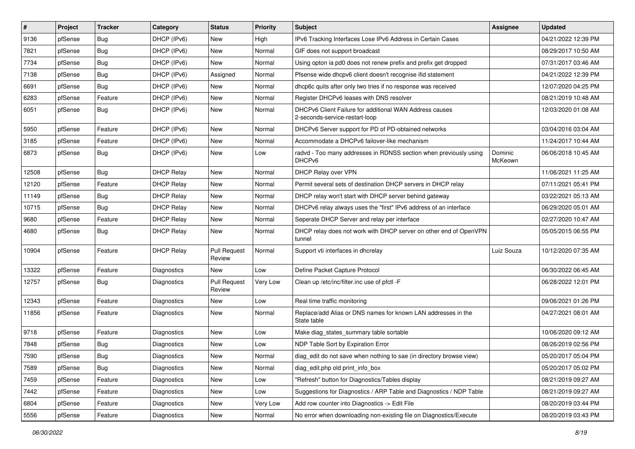| #     | Project | <b>Tracker</b> | Category           | <b>Status</b>                 | <b>Priority</b> | Subject                                                                                   | <b>Assignee</b>    | <b>Updated</b>      |
|-------|---------|----------------|--------------------|-------------------------------|-----------------|-------------------------------------------------------------------------------------------|--------------------|---------------------|
| 9136  | pfSense | Bug            | DHCP (IPv6)        | New                           | High            | IPv6 Tracking Interfaces Lose IPv6 Address in Certain Cases                               |                    | 04/21/2022 12:39 PM |
| 7821  | pfSense | Bug            | DHCP (IPv6)        | New                           | Normal          | GIF does not support broadcast                                                            |                    | 08/29/2017 10:50 AM |
| 7734  | pfSense | Bug            | DHCP (IPv6)        | New                           | Normal          | Using opton ia pd0 does not renew prefix and prefix get dropped                           |                    | 07/31/2017 03:46 AM |
| 7138  | pfSense | Bug            | DHCP (IPv6)        | Assigned                      | Normal          | Pfsense wide dhcpv6 client doesn't recognise ifid statement                               |                    | 04/21/2022 12:39 PM |
| 6691  | pfSense | Bug            | DHCP (IPv6)        | New                           | Normal          | dhcp6c quits after only two tries if no response was received                             |                    | 12/07/2020 04:25 PM |
| 6283  | pfSense | Feature        | DHCP (IPv6)        | New                           | Normal          | Register DHCPv6 leases with DNS resolver                                                  |                    | 08/21/2019 10:48 AM |
| 6051  | pfSense | Bug            | DHCP (IPv6)        | New                           | Normal          | DHCPv6 Client Failure for additional WAN Address causes<br>2-seconds-service-restart-loop |                    | 12/03/2020 01:08 AM |
| 5950  | pfSense | Feature        | DHCP (IPv6)        | New                           | Normal          | DHCPv6 Server support for PD of PD-obtained networks                                      |                    | 03/04/2016 03:04 AM |
| 3185  | pfSense | Feature        | DHCP (IPv6)        | New                           | Normal          | Accommodate a DHCPv6 failover-like mechanism                                              |                    | 11/24/2017 10:44 AM |
| 6873  | pfSense | Bug            | DHCP (IPv6)        | New                           | Low             | radvd - Too many addresses in RDNSS section when previously using<br>DHCPv6               | Dominic<br>McKeown | 06/06/2018 10:45 AM |
| 12508 | pfSense | Bug            | <b>DHCP Relay</b>  | New                           | Normal          | DHCP Relay over VPN                                                                       |                    | 11/06/2021 11:25 AM |
| 12120 | pfSense | Feature        | <b>DHCP Relay</b>  | New                           | Normal          | Permit several sets of destination DHCP servers in DHCP relay                             |                    | 07/11/2021 05:41 PM |
| 11149 | pfSense | Bug            | <b>DHCP Relay</b>  | New                           | Normal          | DHCP relay won't start with DHCP server behind gateway                                    |                    | 03/22/2021 05:13 AM |
| 10715 | pfSense | Bug            | <b>DHCP Relay</b>  | New                           | Normal          | DHCPv6 relay always uses the "first" IPv6 address of an interface                         |                    | 06/29/2020 05:01 AM |
| 9680  | pfSense | Feature        | <b>DHCP Relay</b>  | New                           | Normal          | Seperate DHCP Server and relay per interface                                              |                    | 02/27/2020 10:47 AM |
| 4680  | pfSense | Bug            | <b>DHCP Relay</b>  | New                           | Normal          | DHCP relay does not work with DHCP server on other end of OpenVPN<br>tunnel               |                    | 05/05/2015 06:55 PM |
| 10904 | pfSense | Feature        | <b>DHCP Relay</b>  | <b>Pull Request</b><br>Review | Normal          | Support vti interfaces in dhcrelay                                                        | Luiz Souza         | 10/12/2020 07:35 AM |
| 13322 | pfSense | Feature        | Diagnostics        | New                           | Low             | Define Packet Capture Protocol                                                            |                    | 06/30/2022 06:45 AM |
| 12757 | pfSense | Bug            | Diagnostics        | <b>Pull Request</b><br>Review | Very Low        | Clean up /etc/inc/filter.inc use of pfctl -F                                              |                    | 06/28/2022 12:01 PM |
| 12343 | pfSense | Feature        | Diagnostics        | New                           | Low             | Real time traffic monitoring                                                              |                    | 09/06/2021 01:26 PM |
| 11856 | pfSense | Feature        | Diagnostics        | New                           | Normal          | Replace/add Alias or DNS names for known LAN addresses in the<br>State table              |                    | 04/27/2021 08:01 AM |
| 9718  | pfSense | Feature        | Diagnostics        | New                           | Low             | Make diag_states_summary table sortable                                                   |                    | 10/06/2020 09:12 AM |
| 7848  | pfSense | <b>Bug</b>     | <b>Diagnostics</b> | New                           | Low             | NDP Table Sort by Expiration Error                                                        |                    | 08/26/2019 02:56 PM |
| 7590  | pfSense | Bug            | Diagnostics        | New                           | Normal          | diag_edit do not save when nothing to sae (in directory browse view)                      |                    | 05/20/2017 05:04 PM |
| 7589  | pfSense | Bug            | Diagnostics        | New                           | Normal          | diag_edit.php old print_info_box                                                          |                    | 05/20/2017 05:02 PM |
| 7459  | pfSense | Feature        | Diagnostics        | New                           | Low             | "Refresh" button for Diagnostics/Tables display                                           |                    | 08/21/2019 09:27 AM |
| 7442  | pfSense | Feature        | Diagnostics        | New                           | Low             | Suggestions for Diagnostics / ARP Table and Diagnostics / NDP Table                       |                    | 08/21/2019 09:27 AM |
| 6804  | pfSense | Feature        | Diagnostics        | New                           | Very Low        | Add row counter into Diagnostics -> Edit File                                             |                    | 08/20/2019 03:44 PM |
| 5556  | pfSense | Feature        | Diagnostics        | New                           | Normal          | No error when downloading non-existing file on Diagnostics/Execute                        |                    | 08/20/2019 03:43 PM |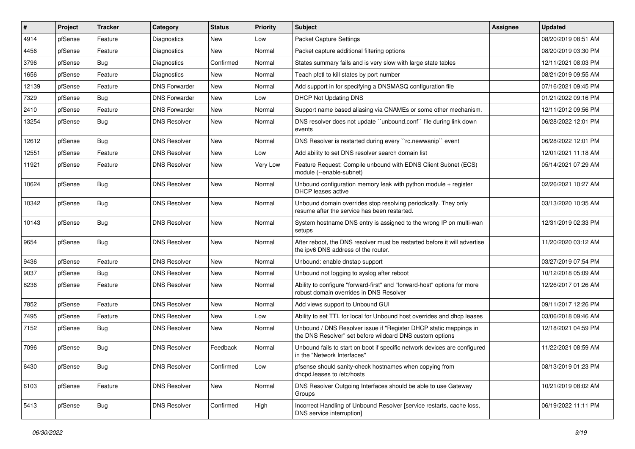| $\vert$ # | Project | <b>Tracker</b> | Category             | <b>Status</b> | <b>Priority</b> | <b>Subject</b>                                                                                                                | <b>Assignee</b> | <b>Updated</b>      |
|-----------|---------|----------------|----------------------|---------------|-----------------|-------------------------------------------------------------------------------------------------------------------------------|-----------------|---------------------|
| 4914      | pfSense | Feature        | <b>Diagnostics</b>   | New           | Low             | Packet Capture Settings                                                                                                       |                 | 08/20/2019 08:51 AM |
| 4456      | pfSense | Feature        | Diagnostics          | New           | Normal          | Packet capture additional filtering options                                                                                   |                 | 08/20/2019 03:30 PM |
| 3796      | pfSense | Bug            | <b>Diagnostics</b>   | Confirmed     | Normal          | States summary fails and is very slow with large state tables                                                                 |                 | 12/11/2021 08:03 PM |
| 1656      | pfSense | Feature        | Diagnostics          | New           | Normal          | Teach pfctl to kill states by port number                                                                                     |                 | 08/21/2019 09:55 AM |
| 12139     | pfSense | Feature        | <b>DNS Forwarder</b> | New           | Normal          | Add support in for specifying a DNSMASQ configuration file                                                                    |                 | 07/16/2021 09:45 PM |
| 7329      | pfSense | Bug            | <b>DNS Forwarder</b> | New           | Low             | <b>DHCP Not Updating DNS</b>                                                                                                  |                 | 01/21/2022 09:16 PM |
| 2410      | pfSense | Feature        | <b>DNS Forwarder</b> | New           | Normal          | Support name based aliasing via CNAMEs or some other mechanism.                                                               |                 | 12/11/2012 09:56 PM |
| 13254     | pfSense | Bug            | <b>DNS Resolver</b>  | New           | Normal          | DNS resolver does not update "unbound.conf" file during link down<br>events                                                   |                 | 06/28/2022 12:01 PM |
| 12612     | pfSense | <b>Bug</b>     | <b>DNS Resolver</b>  | New           | Normal          | DNS Resolver is restarted during every "rc.newwanip" event                                                                    |                 | 06/28/2022 12:01 PM |
| 12551     | pfSense | Feature        | <b>DNS Resolver</b>  | New           | Low             | Add ability to set DNS resolver search domain list                                                                            |                 | 12/01/2021 11:18 AM |
| 11921     | pfSense | Feature        | <b>DNS Resolver</b>  | New           | Very Low        | Feature Request: Compile unbound with EDNS Client Subnet (ECS)<br>module (--enable-subnet)                                    |                 | 05/14/2021 07:29 AM |
| 10624     | pfSense | <b>Bug</b>     | <b>DNS Resolver</b>  | New           | Normal          | Unbound configuration memory leak with python module $+$ register<br>DHCP leases active                                       |                 | 02/26/2021 10:27 AM |
| 10342     | pfSense | Bug            | <b>DNS Resolver</b>  | New           | Normal          | Unbound domain overrides stop resolving periodically. They only<br>resume after the service has been restarted.               |                 | 03/13/2020 10:35 AM |
| 10143     | pfSense | <b>Bug</b>     | <b>DNS Resolver</b>  | New           | Normal          | System hostname DNS entry is assigned to the wrong IP on multi-wan<br>setups                                                  |                 | 12/31/2019 02:33 PM |
| 9654      | pfSense | Bug            | <b>DNS Resolver</b>  | New           | Normal          | After reboot, the DNS resolver must be restarted before it will advertise<br>the ipv6 DNS address of the router.              |                 | 11/20/2020 03:12 AM |
| 9436      | pfSense | Feature        | <b>DNS Resolver</b>  | New           | Normal          | Unbound: enable dnstap support                                                                                                |                 | 03/27/2019 07:54 PM |
| 9037      | pfSense | Bug            | <b>DNS Resolver</b>  | New           | Normal          | Unbound not logging to syslog after reboot                                                                                    |                 | 10/12/2018 05:09 AM |
| 8236      | pfSense | Feature        | <b>DNS Resolver</b>  | New           | Normal          | Ability to configure "forward-first" and "forward-host" options for more<br>robust domain overrides in DNS Resolver           |                 | 12/26/2017 01:26 AM |
| 7852      | pfSense | Feature        | <b>DNS Resolver</b>  | <b>New</b>    | Normal          | Add views support to Unbound GUI                                                                                              |                 | 09/11/2017 12:26 PM |
| 7495      | pfSense | Feature        | <b>DNS Resolver</b>  | New           | Low             | Ability to set TTL for local for Unbound host overrides and dhcp leases                                                       |                 | 03/06/2018 09:46 AM |
| 7152      | pfSense | <b>Bug</b>     | <b>DNS Resolver</b>  | New           | Normal          | Unbound / DNS Resolver issue if "Register DHCP static mappings in<br>the DNS Resolver" set before wildcard DNS custom options |                 | 12/18/2021 04:59 PM |
| 7096      | pfSense | Bug            | <b>DNS Resolver</b>  | Feedback      | Normal          | Unbound fails to start on boot if specific network devices are configured<br>in the "Network Interfaces"                      |                 | 11/22/2021 08:59 AM |
| 6430      | pfSense | Bug            | <b>DNS Resolver</b>  | Confirmed     | Low             | pfsense should sanity-check hostnames when copying from<br>dhcpd.leases to /etc/hosts                                         |                 | 08/13/2019 01:23 PM |
| 6103      | pfSense | Feature        | <b>DNS Resolver</b>  | New           | Normal          | DNS Resolver Outgoing Interfaces should be able to use Gateway<br>Groups                                                      |                 | 10/21/2019 08:02 AM |
| 5413      | pfSense | <b>Bug</b>     | <b>DNS Resolver</b>  | Confirmed     | High            | Incorrect Handling of Unbound Resolver [service restarts, cache loss,<br>DNS service interruption]                            |                 | 06/19/2022 11:11 PM |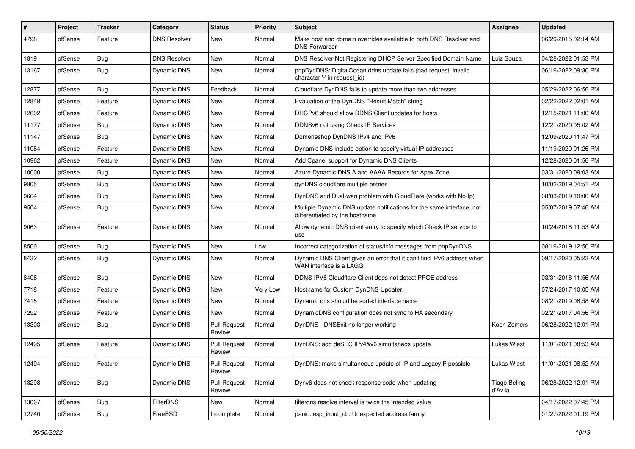| #     | Project | <b>Tracker</b> | Category            | <b>Status</b>                 | <b>Priority</b> | Subject                                                                                                 | Assignee                       | <b>Updated</b>      |
|-------|---------|----------------|---------------------|-------------------------------|-----------------|---------------------------------------------------------------------------------------------------------|--------------------------------|---------------------|
| 4798  | pfSense | Feature        | <b>DNS Resolver</b> | New                           | Normal          | Make host and domain overrides available to both DNS Resolver and<br><b>DNS Forwarder</b>               |                                | 06/29/2015 02:14 AM |
| 1819  | pfSense | Bug            | <b>DNS Resolver</b> | New                           | Normal          | DNS Resolver Not Registering DHCP Server Specified Domain Name                                          | Luiz Souza                     | 04/28/2022 01:53 PM |
| 13167 | pfSense | <b>Bug</b>     | Dynamic DNS         | New                           | Normal          | phpDynDNS: DigitalOcean ddns update fails (bad request, invalid<br>character '-' in request_id)         |                                | 06/16/2022 09:30 PM |
| 12877 | pfSense | Bug            | Dynamic DNS         | Feedback                      | Normal          | Cloudflare DynDNS fails to update more than two addresses                                               |                                | 05/29/2022 06:56 PM |
| 12848 | pfSense | Feature        | Dynamic DNS         | New                           | Normal          | Evaluation of the DynDNS "Result Match" string                                                          |                                | 02/22/2022 02:01 AM |
| 12602 | pfSense | Feature        | <b>Dynamic DNS</b>  | <b>New</b>                    | Normal          | DHCPv6 should allow DDNS Client updates for hosts                                                       |                                | 12/15/2021 11:00 AM |
| 11177 | pfSense | <b>Bug</b>     | Dynamic DNS         | New                           | Normal          | DDNSv6 not using Check IP Services                                                                      |                                | 12/21/2020 05:02 AM |
| 11147 | pfSense | <b>Bug</b>     | Dynamic DNS         | <b>New</b>                    | Normal          | Domeneshop DynDNS IPv4 and IPv6                                                                         |                                | 12/09/2020 11:47 PM |
| 11084 | pfSense | Feature        | Dynamic DNS         | New                           | Normal          | Dynamic DNS include option to specify virtual IP addresses                                              |                                | 11/19/2020 01:26 PM |
| 10962 | pfSense | Feature        | Dynamic DNS         | New                           | Normal          | Add Cpanel support for Dynamic DNS Clients                                                              |                                | 12/28/2020 01:56 PM |
| 10000 | pfSense | Bug            | <b>Dynamic DNS</b>  | New                           | Normal          | Azure Dynamic DNS A and AAAA Records for Apex Zone                                                      |                                | 03/31/2020 09:03 AM |
| 9805  | pfSense | Bug            | Dynamic DNS         | New                           | Normal          | dynDNS cloudflare multiple entries                                                                      |                                | 10/02/2019 04:51 PM |
| 9664  | pfSense | Bug            | <b>Dynamic DNS</b>  | New                           | Normal          | DynDNS and Dual-wan problem with CloudFlare (works with No-Ip)                                          |                                | 08/03/2019 10:00 AM |
| 9504  | pfSense | Bug            | Dynamic DNS         | New                           | Normal          | Multiple Dynamic DNS update notifications for the same interface, not<br>differentiated by the hostname |                                | 05/07/2019 07:46 AM |
| 9063  | pfSense | Feature        | Dynamic DNS         | New                           | Normal          | Allow dynamic DNS client entry to specify which Check IP service to<br>use                              |                                | 10/24/2018 11:53 AM |
| 8500  | pfSense | Bug            | Dynamic DNS         | New                           | Low             | Incorrect categorization of status/info messages from phpDynDNS                                         |                                | 08/16/2019 12:50 PM |
| 8432  | pfSense | Bug            | Dynamic DNS         | New                           | Normal          | Dynamic DNS Client gives an error that it can't find IPv6 address when<br>WAN interface is a LAGG       |                                | 09/17/2020 05:23 AM |
| 8406  | pfSense | Bug            | Dynamic DNS         | New                           | Normal          | DDNS IPV6 Cloudflare Client does not detect PPOE address                                                |                                | 03/31/2018 11:56 AM |
| 7718  | pfSense | Feature        | Dynamic DNS         | New                           | Very Low        | Hostname for Custom DynDNS Updater.                                                                     |                                | 07/24/2017 10:05 AM |
| 7418  | pfSense | Feature        | Dynamic DNS         | New                           | Normal          | Dynamic dns should be sorted interface name                                                             |                                | 08/21/2019 08:58 AM |
| 7292  | pfSense | Feature        | <b>Dynamic DNS</b>  | New                           | Normal          | DynamicDNS configuration does not sync to HA secondary                                                  |                                | 02/21/2017 04:56 PM |
| 13303 | pfSense | Bug            | Dynamic DNS         | <b>Pull Request</b><br>Review | Normal          | DynDNS - DNSExit no longer working                                                                      | Koen Zomers                    | 06/28/2022 12:01 PM |
| 12495 | pfSense | Feature        | Dynamic DNS         | <b>Pull Request</b><br>Review | Normal          | DynDNS: add deSEC IPv4&v6 simultaneos update                                                            | <b>Lukas Wiest</b>             | 11/01/2021 08:53 AM |
| 12494 | pfSense | Feature        | <b>Dynamic DNS</b>  | <b>Pull Request</b><br>Review | Normal          | DynDNS: make simultaneous update of IP and LegacyIP possible                                            | <b>Lukas Wiest</b>             | 11/01/2021 08:52 AM |
| 13298 | pfSense | Bug            | Dynamic DNS         | <b>Pull Request</b><br>Review | Normal          | Dynv6 does not check response code when updating                                                        | <b>Tiago Beling</b><br>d'Avila | 06/28/2022 12:01 PM |
| 13067 | pfSense | Bug            | FilterDNS           | New                           | Normal          | filterdns resolve interval is twice the intended value                                                  |                                | 04/17/2022 07:45 PM |
| 12740 | pfSense | Bug            | FreeBSD             | Incomplete                    | Normal          | panic: esp_input_cb: Unexpected address family                                                          |                                | 01/27/2022 01:19 PM |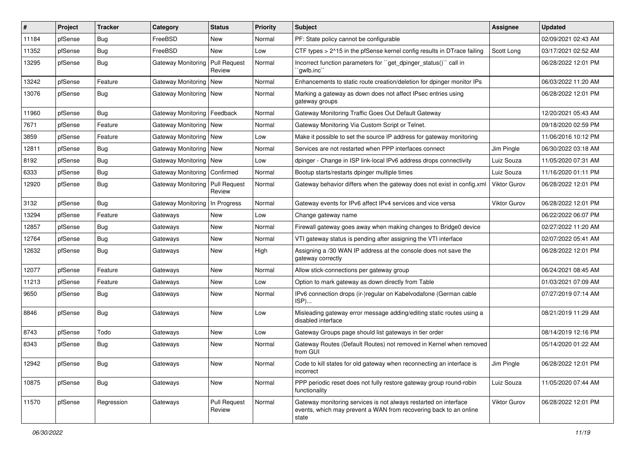| $\vert$ # | Project | Tracker    | Category                      | <b>Status</b>                 | <b>Priority</b> | Subject                                                                                                                                        | Assignee            | <b>Updated</b>      |
|-----------|---------|------------|-------------------------------|-------------------------------|-----------------|------------------------------------------------------------------------------------------------------------------------------------------------|---------------------|---------------------|
| 11184     | pfSense | Bug        | FreeBSD                       | New                           | Normal          | PF: State policy cannot be configurable                                                                                                        |                     | 02/09/2021 02:43 AM |
| 11352     | pfSense | Bug        | FreeBSD                       | New                           | Low             | CTF types > 2^15 in the pfSense kernel config results in DTrace failing                                                                        | Scott Long          | 03/17/2021 02:52 AM |
| 13295     | pfSense | Bug        | Gateway Monitoring            | <b>Pull Request</b><br>Review | Normal          | Incorrect function parameters for "get_dpinger_status()" call in<br>`gwlb.inc``                                                                |                     | 06/28/2022 12:01 PM |
| 13242     | pfSense | Feature    | Gateway Monitoring   New      |                               | Normal          | Enhancements to static route creation/deletion for dpinger monitor IPs                                                                         |                     | 06/03/2022 11:20 AM |
| 13076     | pfSense | Bug        | Gateway Monitoring   New      |                               | Normal          | Marking a gateway as down does not affect IPsec entries using<br>gateway groups                                                                |                     | 06/28/2022 12:01 PM |
| 11960     | pfSense | Bug        | Gateway Monitoring   Feedback |                               | Normal          | Gateway Monitoring Traffic Goes Out Default Gateway                                                                                            |                     | 12/20/2021 05:43 AM |
| 7671      | pfSense | Feature    | Gateway Monitoring   New      |                               | Normal          | Gateway Monitoring Via Custom Script or Telnet.                                                                                                |                     | 09/18/2020 02:59 PM |
| 3859      | pfSense | Feature    | Gateway Monitoring   New      |                               | Low             | Make it possible to set the source IP address for gateway monitoring                                                                           |                     | 11/06/2016 10:12 PM |
| 12811     | pfSense | <b>Bug</b> | Gateway Monitoring   New      |                               | Normal          | Services are not restarted when PPP interfaces connect                                                                                         | Jim Pingle          | 06/30/2022 03:18 AM |
| 8192      | pfSense | <b>Bug</b> | Gateway Monitoring   New      |                               | Low             | dpinger - Change in ISP link-local IPv6 address drops connectivity                                                                             | Luiz Souza          | 11/05/2020 07:31 AM |
| 6333      | pfSense | <b>Bug</b> | Gateway Monitoring            | Confirmed                     | Normal          | Bootup starts/restarts dpinger multiple times                                                                                                  | Luiz Souza          | 11/16/2020 01:11 PM |
| 12920     | pfSense | <b>Bug</b> | Gateway Monitoring            | <b>Pull Request</b><br>Review | Normal          | Gateway behavior differs when the gateway does not exist in config.xml                                                                         | Viktor Gurov        | 06/28/2022 12:01 PM |
| 3132      | pfSense | <b>Bug</b> | Gateway Monitoring            | In Progress                   | Normal          | Gateway events for IPv6 affect IPv4 services and vice versa                                                                                    | <b>Viktor Gurov</b> | 06/28/2022 12:01 PM |
| 13294     | pfSense | Feature    | Gateways                      | New                           | Low             | Change gateway name                                                                                                                            |                     | 06/22/2022 06:07 PM |
| 12857     | pfSense | <b>Bug</b> | Gateways                      | New                           | Normal          | Firewall gateway goes away when making changes to Bridge0 device                                                                               |                     | 02/27/2022 11:20 AM |
| 12764     | pfSense | Bug        | Gateways                      | New                           | Normal          | VTI gateway status is pending after assigning the VTI interface                                                                                |                     | 02/07/2022 05:41 AM |
| 12632     | pfSense | Bug        | Gateways                      | New                           | High            | Assigning a /30 WAN IP address at the console does not save the<br>gateway correctly                                                           |                     | 06/28/2022 12:01 PM |
| 12077     | pfSense | Feature    | Gateways                      | New                           | Normal          | Allow stick-connections per gateway group                                                                                                      |                     | 06/24/2021 08:45 AM |
| 11213     | pfSense | Feature    | Gateways                      | New                           | Low             | Option to mark gateway as down directly from Table                                                                                             |                     | 01/03/2021 07:09 AM |
| 9650      | pfSense | <b>Bug</b> | Gateways                      | New                           | Normal          | IPv6 connection drops (ir-)regular on Kabelvodafone (German cable<br>ISP)                                                                      |                     | 07/27/2019 07:14 AM |
| 8846      | pfSense | <b>Bug</b> | Gateways                      | <b>New</b>                    | Low             | Misleading gateway error message adding/editing static routes using a<br>disabled interface                                                    |                     | 08/21/2019 11:29 AM |
| 8743      | pfSense | Todo       | Gateways                      | New                           | Low             | Gateway Groups page should list gateways in tier order                                                                                         |                     | 08/14/2019 12:16 PM |
| 8343      | pfSense | Bug        | Gateways                      | New                           | Normal          | Gateway Routes (Default Routes) not removed in Kernel when removed<br>from GUI                                                                 |                     | 05/14/2020 01:22 AM |
| 12942     | pfSense | Bug        | Gateways                      | New                           | Normal          | Code to kill states for old gateway when reconnecting an interface is<br>incorrect                                                             | Jim Pingle          | 06/28/2022 12:01 PM |
| 10875     | pfSense | <b>Bug</b> | Gateways                      | New                           | Normal          | PPP periodic reset does not fully restore gateway group round-robin<br>functionality                                                           | Luiz Souza          | 11/05/2020 07:44 AM |
| 11570     | pfSense | Regression | Gateways                      | <b>Pull Request</b><br>Review | Normal          | Gateway monitoring services is not always restarted on interface<br>events, which may prevent a WAN from recovering back to an online<br>state | Viktor Gurov        | 06/28/2022 12:01 PM |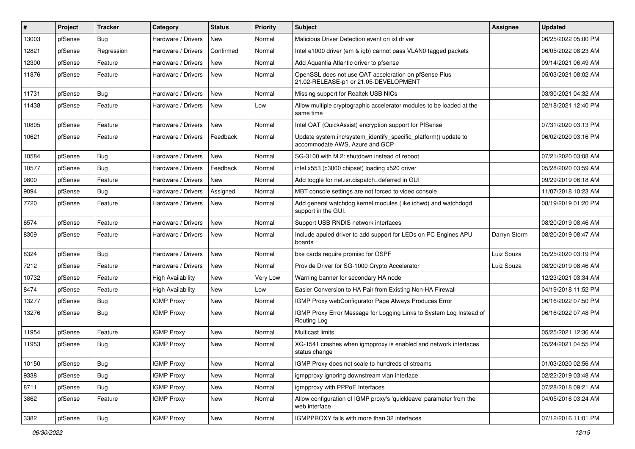| #     | Project | <b>Tracker</b> | Category                 | <b>Status</b> | Priority | Subject                                                                                           | Assignee     | <b>Updated</b>      |
|-------|---------|----------------|--------------------------|---------------|----------|---------------------------------------------------------------------------------------------------|--------------|---------------------|
| 13003 | pfSense | Bug            | Hardware / Drivers       | New           | Normal   | Malicious Driver Detection event on ixl driver                                                    |              | 06/25/2022 05:00 PM |
| 12821 | pfSense | Regression     | Hardware / Drivers       | Confirmed     | Normal   | Intel e1000 driver (em & igb) cannot pass VLAN0 tagged packets                                    |              | 06/05/2022 08:23 AM |
| 12300 | pfSense | Feature        | Hardware / Drivers       | <b>New</b>    | Normal   | Add Aquantia Atlantic driver to pfsense                                                           |              | 09/14/2021 06:49 AM |
| 11876 | pfSense | Feature        | Hardware / Drivers       | New           | Normal   | OpenSSL does not use QAT acceleration on pfSense Plus<br>21.02-RELEASE-p1 or 21.05-DEVELOPMENT    |              | 05/03/2021 08:02 AM |
| 11731 | pfSense | Bug            | Hardware / Drivers       | <b>New</b>    | Normal   | Missing support for Realtek USB NICs                                                              |              | 03/30/2021 04:32 AM |
| 11438 | pfSense | Feature        | Hardware / Drivers       | New           | Low      | Allow multiple cryptographic accelerator modules to be loaded at the<br>same time                 |              | 02/18/2021 12:40 PM |
| 10805 | pfSense | Feature        | Hardware / Drivers       | New           | Normal   | Intel QAT (QuickAssist) encryption support for PfSense                                            |              | 07/31/2020 03:13 PM |
| 10621 | pfSense | Feature        | Hardware / Drivers       | Feedback      | Normal   | Update system.inc/system_identify_specific_platform() update to<br>accommodate AWS, Azure and GCP |              | 06/02/2020 03:16 PM |
| 10584 | pfSense | Bug            | Hardware / Drivers       | <b>New</b>    | Normal   | SG-3100 with M.2: shutdown instead of reboot                                                      |              | 07/21/2020 03:08 AM |
| 10577 | pfSense | <b>Bug</b>     | Hardware / Drivers       | Feedback      | Normal   | intel x553 (c3000 chipset) loading x520 driver                                                    |              | 05/28/2020 03:59 AM |
| 9800  | pfSense | Feature        | Hardware / Drivers       | <b>New</b>    | Normal   | Add toggle for net.isr.dispatch=deferred in GUI                                                   |              | 09/29/2019 06:18 AM |
| 9094  | pfSense | Bug            | Hardware / Drivers       | Assigned      | Normal   | MBT console settings are not forced to video console                                              |              | 11/07/2018 10:23 AM |
| 7720  | pfSense | Feature        | Hardware / Drivers       | New           | Normal   | Add general watchdog kernel modules (like ichwd) and watchdogd<br>support in the GUI.             |              | 08/19/2019 01:20 PM |
| 6574  | pfSense | Feature        | Hardware / Drivers       | <b>New</b>    | Normal   | Support USB RNDIS network interfaces                                                              |              | 08/20/2019 08:46 AM |
| 8309  | pfSense | Feature        | Hardware / Drivers       | New           | Normal   | Include apuled driver to add support for LEDs on PC Engines APU<br>boards                         | Darryn Storm | 08/20/2019 08:47 AM |
| 8324  | pfSense | Bug            | Hardware / Drivers       | New           | Normal   | bxe cards require promisc for OSPF                                                                | Luiz Souza   | 05/25/2020 03:19 PM |
| 7212  | pfSense | Feature        | Hardware / Drivers       | New           | Normal   | Provide Driver for SG-1000 Crypto Accelerator                                                     | Luiz Souza   | 08/20/2019 08:46 AM |
| 10732 | pfSense | Feature        | <b>High Availability</b> | New           | Very Low | Warning banner for secondary HA node                                                              |              | 12/23/2021 03:34 AM |
| 8474  | pfSense | Feature        | <b>High Availability</b> | New           | Low      | Easier Conversion to HA Pair from Existing Non-HA Firewall                                        |              | 04/19/2018 11:52 PM |
| 13277 | pfSense | Bug            | <b>IGMP Proxy</b>        | New           | Normal   | IGMP Proxy webConfigurator Page Always Produces Error                                             |              | 06/16/2022 07:50 PM |
| 13276 | pfSense | Bug            | <b>IGMP Proxy</b>        | New           | Normal   | IGMP Proxy Error Message for Logging Links to System Log Instead of<br>Routing Log                |              | 06/16/2022 07:48 PM |
| 11954 | pfSense | Feature        | <b>IGMP Proxy</b>        | New           | Normal   | <b>Multicast limits</b>                                                                           |              | 05/25/2021 12:36 AM |
| 11953 | pfSense | Bug            | <b>IGMP Proxy</b>        | New           | Normal   | XG-1541 crashes when igmpproxy is enabled and network interfaces<br>status change                 |              | 05/24/2021 04:55 PM |
| 10150 | pfSense | Bug            | <b>IGMP Proxy</b>        | New           | Normal   | IGMP Proxy does not scale to hundreds of streams                                                  |              | 01/03/2020 02:56 AM |
| 9338  | pfSense | Bug            | <b>IGMP Proxy</b>        | New           | Normal   | igmpproxy ignoring downstream vlan interface                                                      |              | 02/22/2019 03:48 AM |
| 8711  | pfSense | Bug            | <b>IGMP Proxy</b>        | New           | Normal   | igmpproxy with PPPoE Interfaces                                                                   |              | 07/28/2018 09:21 AM |
| 3862  | pfSense | Feature        | <b>IGMP Proxy</b>        | New           | Normal   | Allow configuration of IGMP proxy's 'quickleave' parameter from the<br>web interface              |              | 04/05/2016 03:24 AM |
| 3382  | pfSense | <b>Bug</b>     | <b>IGMP Proxy</b>        | New           | Normal   | IGMPPROXY fails with more than 32 interfaces                                                      |              | 07/12/2016 11:01 PM |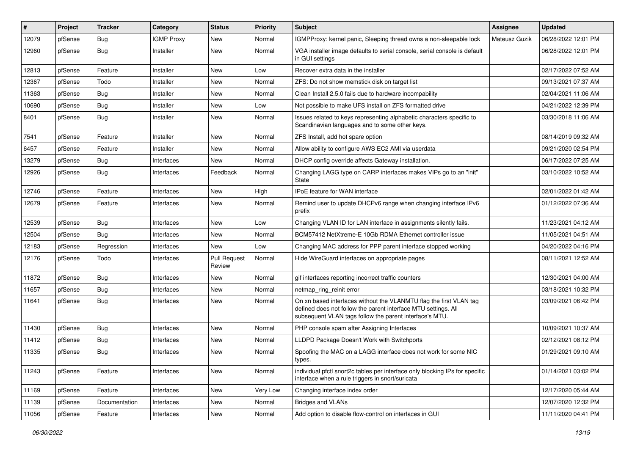| #     | Project | <b>Tracker</b> | Category          | <b>Status</b>                 | <b>Priority</b> | <b>Subject</b>                                                                                                                                                                                  | <b>Assignee</b> | <b>Updated</b>      |
|-------|---------|----------------|-------------------|-------------------------------|-----------------|-------------------------------------------------------------------------------------------------------------------------------------------------------------------------------------------------|-----------------|---------------------|
| 12079 | pfSense | Bug            | <b>IGMP Proxy</b> | New                           | Normal          | IGMPProxy: kernel panic, Sleeping thread owns a non-sleepable lock                                                                                                                              | Mateusz Guzik   | 06/28/2022 12:01 PM |
| 12960 | pfSense | Bug            | Installer         | New                           | Normal          | VGA installer image defaults to serial console, serial console is default<br>in GUI settings                                                                                                    |                 | 06/28/2022 12:01 PM |
| 12813 | pfSense | Feature        | Installer         | <b>New</b>                    | Low             | Recover extra data in the installer                                                                                                                                                             |                 | 02/17/2022 07:52 AM |
| 12367 | pfSense | Todo           | Installer         | New                           | Normal          | ZFS: Do not show memstick disk on target list                                                                                                                                                   |                 | 09/13/2021 07:37 AM |
| 11363 | pfSense | Bug            | Installer         | New                           | Normal          | Clean Install 2.5.0 fails due to hardware incompability                                                                                                                                         |                 | 02/04/2021 11:06 AM |
| 10690 | pfSense | Bug            | Installer         | New                           | Low             | Not possible to make UFS install on ZFS formatted drive                                                                                                                                         |                 | 04/21/2022 12:39 PM |
| 8401  | pfSense | Bug            | Installer         | <b>New</b>                    | Normal          | Issues related to keys representing alphabetic characters specific to<br>Scandinavian languages and to some other keys.                                                                         |                 | 03/30/2018 11:06 AM |
| 7541  | pfSense | Feature        | Installer         | New                           | Normal          | ZFS Install, add hot spare option                                                                                                                                                               |                 | 08/14/2019 09:32 AM |
| 6457  | pfSense | Feature        | Installer         | New                           | Normal          | Allow ability to configure AWS EC2 AMI via userdata                                                                                                                                             |                 | 09/21/2020 02:54 PM |
| 13279 | pfSense | Bug            | Interfaces        | <b>New</b>                    | Normal          | DHCP config override affects Gateway installation.                                                                                                                                              |                 | 06/17/2022 07:25 AM |
| 12926 | pfSense | <b>Bug</b>     | Interfaces        | Feedback                      | Normal          | Changing LAGG type on CARP interfaces makes VIPs go to an "init"<br><b>State</b>                                                                                                                |                 | 03/10/2022 10:52 AM |
| 12746 | pfSense | Feature        | Interfaces        | New                           | High            | IPoE feature for WAN interface                                                                                                                                                                  |                 | 02/01/2022 01:42 AM |
| 12679 | pfSense | Feature        | Interfaces        | <b>New</b>                    | Normal          | Remind user to update DHCPv6 range when changing interface IPv6<br>prefix                                                                                                                       |                 | 01/12/2022 07:36 AM |
| 12539 | pfSense | Bug            | Interfaces        | <b>New</b>                    | Low             | Changing VLAN ID for LAN interface in assignments silently fails.                                                                                                                               |                 | 11/23/2021 04:12 AM |
| 12504 | pfSense | Bug            | Interfaces        | New                           | Normal          | BCM57412 NetXtreme-E 10Gb RDMA Ethernet controller issue                                                                                                                                        |                 | 11/05/2021 04:51 AM |
| 12183 | pfSense | Regression     | Interfaces        | New                           | Low             | Changing MAC address for PPP parent interface stopped working                                                                                                                                   |                 | 04/20/2022 04:16 PM |
| 12176 | pfSense | Todo           | Interfaces        | <b>Pull Request</b><br>Review | Normal          | Hide WireGuard interfaces on appropriate pages                                                                                                                                                  |                 | 08/11/2021 12:52 AM |
| 11872 | pfSense | <b>Bug</b>     | Interfaces        | New                           | Normal          | gif interfaces reporting incorrect traffic counters                                                                                                                                             |                 | 12/30/2021 04:00 AM |
| 11657 | pfSense | <b>Bug</b>     | Interfaces        | New                           | Normal          | netmap_ring_reinit error                                                                                                                                                                        |                 | 03/18/2021 10:32 PM |
| 11641 | pfSense | Bug            | Interfaces        | New                           | Normal          | On xn based interfaces without the VLANMTU flag the first VLAN tag<br>defined does not follow the parent interface MTU settings. All<br>subsequent VLAN tags follow the parent interface's MTU. |                 | 03/09/2021 06:42 PM |
| 11430 | pfSense | <b>Bug</b>     | Interfaces        | New                           | Normal          | PHP console spam after Assigning Interfaces                                                                                                                                                     |                 | 10/09/2021 10:37 AM |
| 11412 | pfSense | <b>Bug</b>     | Interfaces        | New                           | Normal          | LLDPD Package Doesn't Work with Switchports                                                                                                                                                     |                 | 02/12/2021 08:12 PM |
| 11335 | pfSense | Bug            | Interfaces        | New                           | Normal          | Spoofing the MAC on a LAGG interface does not work for some NIC<br>types.                                                                                                                       |                 | 01/29/2021 09:10 AM |
| 11243 | pfSense | Feature        | Interfaces        | New                           | Normal          | individual pfctl snort2c tables per interface only blocking IPs for specific<br>interface when a rule triggers in snort/suricata                                                                |                 | 01/14/2021 03:02 PM |
| 11169 | pfSense | Feature        | Interfaces        | New                           | Very Low        | Changing interface index order                                                                                                                                                                  |                 | 12/17/2020 05:44 AM |
| 11139 | pfSense | Documentation  | Interfaces        | New                           | Normal          | <b>Bridges and VLANs</b>                                                                                                                                                                        |                 | 12/07/2020 12:32 PM |
| 11056 | pfSense | Feature        | Interfaces        | New                           | Normal          | Add option to disable flow-control on interfaces in GUI                                                                                                                                         |                 | 11/11/2020 04:41 PM |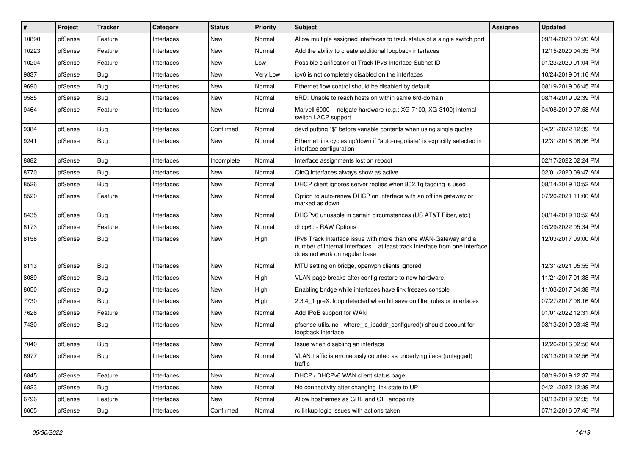| #     | Project | <b>Tracker</b> | Category   | <b>Status</b> | <b>Priority</b> | Subject                                                                                                                                                                       | Assignee | <b>Updated</b>      |
|-------|---------|----------------|------------|---------------|-----------------|-------------------------------------------------------------------------------------------------------------------------------------------------------------------------------|----------|---------------------|
| 10890 | pfSense | Feature        | Interfaces | New           | Normal          | Allow multiple assigned interfaces to track status of a single switch port                                                                                                    |          | 09/14/2020 07:20 AM |
| 10223 | pfSense | Feature        | Interfaces | New           | Normal          | Add the ability to create additional loopback interfaces                                                                                                                      |          | 12/15/2020 04:35 PM |
| 10204 | pfSense | Feature        | Interfaces | New           | Low             | Possible clarification of Track IPv6 Interface Subnet ID                                                                                                                      |          | 01/23/2020 01:04 PM |
| 9837  | pfSense | Bug            | Interfaces | New           | <b>Very Low</b> | ipv6 is not completely disabled on the interfaces                                                                                                                             |          | 10/24/2019 01:16 AM |
| 9690  | pfSense | Bug            | Interfaces | New           | Normal          | Ethernet flow control should be disabled by default                                                                                                                           |          | 08/19/2019 06:45 PM |
| 9585  | pfSense | <b>Bug</b>     | Interfaces | New           | Normal          | 6RD: Unable to reach hosts on within same 6rd-domain                                                                                                                          |          | 08/14/2019 02:39 PM |
| 9464  | pfSense | Feature        | Interfaces | New           | Normal          | Marvell 6000 -- netgate hardware (e.g.: XG-7100, XG-3100) internal<br>switch LACP support                                                                                     |          | 04/08/2019 07:58 AM |
| 9384  | pfSense | Bug            | Interfaces | Confirmed     | Normal          | devd putting "\$" before variable contents when using single quotes                                                                                                           |          | 04/21/2022 12:39 PM |
| 9241  | pfSense | Bug            | Interfaces | New           | Normal          | Ethernet link cycles up/down if "auto-negotiate" is explicitly selected in<br>interface configuration                                                                         |          | 12/31/2018 08:36 PM |
| 8882  | pfSense | Bug            | Interfaces | Incomplete    | Normal          | Interface assignments lost on reboot                                                                                                                                          |          | 02/17/2022 02:24 PM |
| 8770  | pfSense | Bug            | Interfaces | New           | Normal          | QinQ interfaces always show as active                                                                                                                                         |          | 02/01/2020 09:47 AM |
| 8526  | pfSense | Bug            | Interfaces | New           | Normal          | DHCP client ignores server replies when 802.1g tagging is used                                                                                                                |          | 08/14/2019 10:52 AM |
| 8520  | pfSense | Feature        | Interfaces | New           | Normal          | Option to auto-renew DHCP on interface with an offline gateway or<br>marked as down                                                                                           |          | 07/20/2021 11:00 AM |
| 8435  | pfSense | Bug            | Interfaces | New           | Normal          | DHCPv6 unusable in certain circumstances (US AT&T Fiber, etc.)                                                                                                                |          | 08/14/2019 10:52 AM |
| 8173  | pfSense | Feature        | Interfaces | New           | Normal          | dhcp6c - RAW Options                                                                                                                                                          |          | 05/29/2022 05:34 PM |
| 8158  | pfSense | Bug            | Interfaces | New           | High            | IPv6 Track Interface issue with more than one WAN-Gateway and a<br>number of internal interfaces at least track interface from one interface<br>does not work on regular base |          | 12/03/2017 09:00 AM |
| 8113  | pfSense | Bug            | Interfaces | New           | Normal          | MTU setting on bridge, openvpn clients ignored                                                                                                                                |          | 12/31/2021 05:55 PM |
| 8089  | pfSense | <b>Bug</b>     | Interfaces | New           | High            | VLAN page breaks after config restore to new hardware.                                                                                                                        |          | 11/21/2017 01:38 PM |
| 8050  | pfSense | <b>Bug</b>     | Interfaces | New           | High            | Enabling bridge while interfaces have link freezes console                                                                                                                    |          | 11/03/2017 04:38 PM |
| 7730  | pfSense | Bug            | Interfaces | New           | High            | 2.3.4_1 greX: loop detected when hit save on filter rules or interfaces                                                                                                       |          | 07/27/2017 08:16 AM |
| 7626  | pfSense | Feature        | Interfaces | New           | Normal          | Add IPoE support for WAN                                                                                                                                                      |          | 01/01/2022 12:31 AM |
| 7430  | pfSense | Bug            | Interfaces | New           | Normal          | pfsense-utils.inc - where_is_ipaddr_configured() should account for<br>loopback interface                                                                                     |          | 08/13/2019 03:48 PM |
| 7040  | pfSense | Bug            | Interfaces | New           | Normal          | Issue when disabling an interface                                                                                                                                             |          | 12/26/2016 02:56 AM |
| 6977  | pfSense | Bug            | Interfaces | New           | Normal          | VLAN traffic is erroneously counted as underlying iface (untagged)<br>traffic                                                                                                 |          | 08/13/2019 02:56 PM |
| 6845  | pfSense | Feature        | Interfaces | <b>New</b>    | Normal          | DHCP / DHCPv6 WAN client status page                                                                                                                                          |          | 08/19/2019 12:37 PM |
| 6823  | pfSense | <b>Bug</b>     | Interfaces | New           | Normal          | No connectivity after changing link state to UP                                                                                                                               |          | 04/21/2022 12:39 PM |
| 6796  | pfSense | Feature        | Interfaces | New           | Normal          | Allow hostnames as GRE and GIF endpoints                                                                                                                                      |          | 08/13/2019 02:35 PM |
| 6605  | pfSense | <b>Bug</b>     | Interfaces | Confirmed     | Normal          | rc.linkup logic issues with actions taken                                                                                                                                     |          | 07/12/2016 07:46 PM |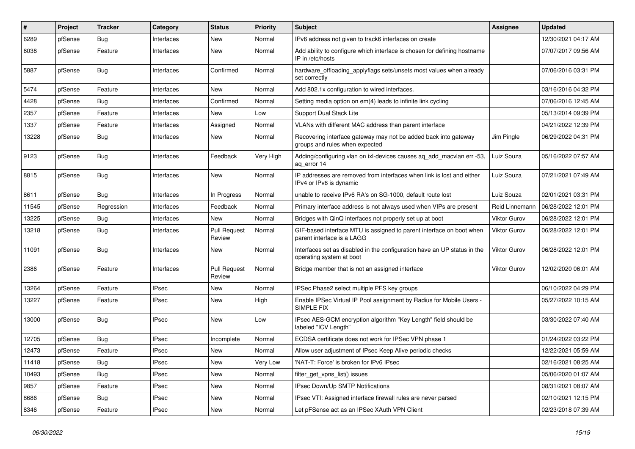| ∦     | Project | <b>Tracker</b> | Category     | <b>Status</b>                 | <b>Priority</b> | <b>Subject</b>                                                                                       | <b>Assignee</b>     | <b>Updated</b>      |
|-------|---------|----------------|--------------|-------------------------------|-----------------|------------------------------------------------------------------------------------------------------|---------------------|---------------------|
| 6289  | pfSense | <b>Bug</b>     | Interfaces   | New                           | Normal          | IPv6 address not given to track6 interfaces on create                                                |                     | 12/30/2021 04:17 AM |
| 6038  | pfSense | Feature        | Interfaces   | <b>New</b>                    | Normal          | Add ability to configure which interface is chosen for defining hostname<br>IP in /etc/hosts         |                     | 07/07/2017 09:56 AM |
| 5887  | pfSense | Bug            | Interfaces   | Confirmed                     | Normal          | hardware_offloading_applyflags sets/unsets most values when already<br>set correctly                 |                     | 07/06/2016 03:31 PM |
| 5474  | pfSense | Feature        | Interfaces   | <b>New</b>                    | Normal          | Add 802.1x configuration to wired interfaces.                                                        |                     | 03/16/2016 04:32 PM |
| 4428  | pfSense | Bug            | Interfaces   | Confirmed                     | Normal          | Setting media option on em(4) leads to infinite link cycling                                         |                     | 07/06/2016 12:45 AM |
| 2357  | pfSense | Feature        | Interfaces   | <b>New</b>                    | Low             | Support Dual Stack Lite                                                                              |                     | 05/13/2014 09:39 PM |
| 1337  | pfSense | Feature        | Interfaces   | Assigned                      | Normal          | VLANs with different MAC address than parent interface                                               |                     | 04/21/2022 12:39 PM |
| 13228 | pfSense | Bug            | Interfaces   | New                           | Normal          | Recovering interface gateway may not be added back into gateway<br>groups and rules when expected    | Jim Pingle          | 06/29/2022 04:31 PM |
| 9123  | pfSense | Bug            | Interfaces   | Feedback                      | Very High       | Adding/configuring vlan on ixl-devices causes aq_add_macvlan err -53,<br>aq_error 14                 | Luiz Souza          | 05/16/2022 07:57 AM |
| 8815  | pfSense | Bug            | Interfaces   | <b>New</b>                    | Normal          | IP addresses are removed from interfaces when link is lost and either<br>IPv4 or IPv6 is dynamic     | Luiz Souza          | 07/21/2021 07:49 AM |
| 8611  | pfSense | Bug            | Interfaces   | In Progress                   | Normal          | unable to receive IPv6 RA's on SG-1000, default route lost                                           | Luiz Souza          | 02/01/2021 03:31 PM |
| 11545 | pfSense | Regression     | Interfaces   | Feedback                      | Normal          | Primary interface address is not always used when VIPs are present                                   | Reid Linnemann      | 06/28/2022 12:01 PM |
| 13225 | pfSense | Bug            | Interfaces   | <b>New</b>                    | Normal          | Bridges with QinQ interfaces not properly set up at boot                                             | <b>Viktor Gurov</b> | 06/28/2022 12:01 PM |
| 13218 | pfSense | Bug            | Interfaces   | <b>Pull Request</b><br>Review | Normal          | GIF-based interface MTU is assigned to parent interface on boot when<br>parent interface is a LAGG   | Viktor Gurov        | 06/28/2022 12:01 PM |
| 11091 | pfSense | Bug            | Interfaces   | New                           | Normal          | Interfaces set as disabled in the configuration have an UP status in the<br>operating system at boot | <b>Viktor Gurov</b> | 06/28/2022 12:01 PM |
| 2386  | pfSense | Feature        | Interfaces   | <b>Pull Request</b><br>Review | Normal          | Bridge member that is not an assigned interface                                                      | Viktor Gurov        | 12/02/2020 06:01 AM |
| 13264 | pfSense | Feature        | <b>IPsec</b> | <b>New</b>                    | Normal          | IPSec Phase2 select multiple PFS key groups                                                          |                     | 06/10/2022 04:29 PM |
| 13227 | pfSense | Feature        | <b>IPsec</b> | New                           | High            | Enable IPSec Virtual IP Pool assignment by Radius for Mobile Users -<br>SIMPLE FIX                   |                     | 05/27/2022 10:15 AM |
| 13000 | pfSense | Bug            | <b>IPsec</b> | New                           | Low             | IPsec AES-GCM encryption algorithm "Key Length" field should be<br>labeled "ICV Length"              |                     | 03/30/2022 07:40 AM |
| 12705 | pfSense | Bug            | <b>IPsec</b> | Incomplete                    | Normal          | ECDSA certificate does not work for IPSec VPN phase 1                                                |                     | 01/24/2022 03:22 PM |
| 12473 | pfSense | Feature        | <b>IPsec</b> | <b>New</b>                    | Normal          | Allow user adjustment of IPsec Keep Alive periodic checks                                            |                     | 12/22/2021 05:59 AM |
| 11418 | pfSense | Bug            | <b>IPsec</b> | New                           | Very Low        | 'NAT-T: Force' is broken for IPv6 IPsec                                                              |                     | 02/16/2021 08:25 AM |
| 10493 | pfSense | Bug            | <b>IPsec</b> | New                           | Normal          | filter_get_vpns_list() issues                                                                        |                     | 05/06/2020 01:07 AM |
| 9857  | pfSense | Feature        | <b>IPsec</b> | New                           | Normal          | IPsec Down/Up SMTP Notifications                                                                     |                     | 08/31/2021 08:07 AM |
| 8686  | pfSense | <b>Bug</b>     | <b>IPsec</b> | New                           | Normal          | IPsec VTI: Assigned interface firewall rules are never parsed                                        |                     | 02/10/2021 12:15 PM |
| 8346  | pfSense | Feature        | <b>IPsec</b> | New                           | Normal          | Let pFSense act as an IPSec XAuth VPN Client                                                         |                     | 02/23/2018 07:39 AM |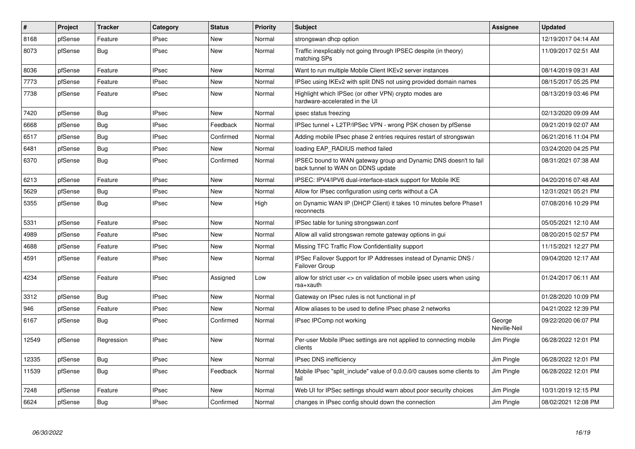| $\#$  | <b>Project</b> | <b>Tracker</b> | Category     | <b>Status</b> | Priority | <b>Subject</b>                                                                                        | Assignee               | <b>Updated</b>      |
|-------|----------------|----------------|--------------|---------------|----------|-------------------------------------------------------------------------------------------------------|------------------------|---------------------|
| 8168  | pfSense        | Feature        | <b>IPsec</b> | <b>New</b>    | Normal   | strongswan dhcp option                                                                                |                        | 12/19/2017 04:14 AM |
| 8073  | pfSense        | <b>Bug</b>     | <b>IPsec</b> | New           | Normal   | Traffic inexplicably not going through IPSEC despite (in theory)<br>matching SPs                      |                        | 11/09/2017 02:51 AM |
| 8036  | pfSense        | Feature        | <b>IPsec</b> | New           | Normal   | Want to run multiple Mobile Client IKEv2 server instances                                             |                        | 08/14/2019 09:31 AM |
| 7773  | pfSense        | Feature        | <b>IPsec</b> | <b>New</b>    | Normal   | IPSec using IKEv2 with split DNS not using provided domain names                                      |                        | 08/15/2017 05:25 PM |
| 7738  | pfSense        | Feature        | <b>IPsec</b> | New           | Normal   | Highlight which IPSec (or other VPN) crypto modes are<br>hardware-accelerated in the UI               |                        | 08/13/2019 03:46 PM |
| 7420  | pfSense        | <b>Bug</b>     | <b>IPsec</b> | <b>New</b>    | Normal   | ipsec status freezing                                                                                 |                        | 02/13/2020 09:09 AM |
| 6668  | pfSense        | <b>Bug</b>     | <b>IPsec</b> | Feedback      | Normal   | IPSec tunnel + L2TP/IPSec VPN - wrong PSK chosen by pfSense                                           |                        | 09/21/2019 02:07 AM |
| 6517  | pfSense        | <b>Bug</b>     | <b>IPsec</b> | Confirmed     | Normal   | Adding mobile IPsec phase 2 entries requires restart of strongswan                                    |                        | 06/21/2016 11:04 PM |
| 6481  | pfSense        | <b>Bug</b>     | <b>IPsec</b> | New           | Normal   | loading EAP_RADIUS method failed                                                                      |                        | 03/24/2020 04:25 PM |
| 6370  | pfSense        | Bug            | <b>IPsec</b> | Confirmed     | Normal   | IPSEC bound to WAN gateway group and Dynamic DNS doesn't to fail<br>back tunnel to WAN on DDNS update |                        | 08/31/2021 07:38 AM |
| 6213  | pfSense        | Feature        | <b>IPsec</b> | <b>New</b>    | Normal   | IPSEC: IPV4/IPV6 dual-interface-stack support for Mobile IKE                                          |                        | 04/20/2016 07:48 AM |
| 5629  | pfSense        | <b>Bug</b>     | <b>IPsec</b> | <b>New</b>    | Normal   | Allow for IPsec configuration using certs without a CA                                                |                        | 12/31/2021 05:21 PM |
| 5355  | pfSense        | <b>Bug</b>     | <b>IPsec</b> | New           | High     | on Dynamic WAN IP (DHCP Client) it takes 10 minutes before Phase1<br>reconnects                       |                        | 07/08/2016 10:29 PM |
| 5331  | pfSense        | Feature        | <b>IPsec</b> | New           | Normal   | IPSec table for tuning strongswan.conf                                                                |                        | 05/05/2021 12:10 AM |
| 4989  | pfSense        | Feature        | <b>IPsec</b> | New           | Normal   | Allow all valid strongswan remote gateway options in gui                                              |                        | 08/20/2015 02:57 PM |
| 4688  | pfSense        | Feature        | <b>IPsec</b> | New           | Normal   | Missing TFC Traffic Flow Confidentiality support                                                      |                        | 11/15/2021 12:27 PM |
| 4591  | pfSense        | Feature        | <b>IPsec</b> | New           | Normal   | IPSec Failover Support for IP Addresses instead of Dynamic DNS /<br><b>Failover Group</b>             |                        | 09/04/2020 12:17 AM |
| 4234  | pfSense        | Feature        | <b>IPsec</b> | Assigned      | Low      | allow for strict user <> cn validation of mobile ipsec users when using<br>rsa+xauth                  |                        | 01/24/2017 06:11 AM |
| 3312  | pfSense        | Bug            | <b>IPsec</b> | <b>New</b>    | Normal   | Gateway on IPsec rules is not functional in pf                                                        |                        | 01/28/2020 10:09 PM |
| 946   | pfSense        | Feature        | <b>IPsec</b> | <b>New</b>    | Normal   | Allow aliases to be used to define IPsec phase 2 networks                                             |                        | 04/21/2022 12:39 PM |
| 6167  | pfSense        | Bug            | <b>IPsec</b> | Confirmed     | Normal   | IPsec IPComp not working                                                                              | George<br>Neville-Neil | 09/22/2020 06:07 PM |
| 12549 | pfSense        | Regression     | <b>IPsec</b> | <b>New</b>    | Normal   | Per-user Mobile IPsec settings are not applied to connecting mobile<br>clients                        | Jim Pingle             | 06/28/2022 12:01 PM |
| 12335 | pfSense        | Bug            | <b>IPsec</b> | <b>New</b>    | Normal   | <b>IPsec DNS inefficiency</b>                                                                         | Jim Pingle             | 06/28/2022 12:01 PM |
| 11539 | pfSense        | <b>Bug</b>     | <b>IPsec</b> | Feedback      | Normal   | Mobile IPsec "split include" value of 0.0.0.0/0 causes some clients to<br>fail                        | Jim Pingle             | 06/28/2022 12:01 PM |
| 7248  | pfSense        | Feature        | <b>IPsec</b> | <b>New</b>    | Normal   | Web UI for IPSec settings should warn about poor security choices                                     | Jim Pingle             | 10/31/2019 12:15 PM |
| 6624  | pfSense        | Bug            | <b>IPsec</b> | Confirmed     | Normal   | changes in IPsec config should down the connection                                                    | Jim Pingle             | 08/02/2021 12:08 PM |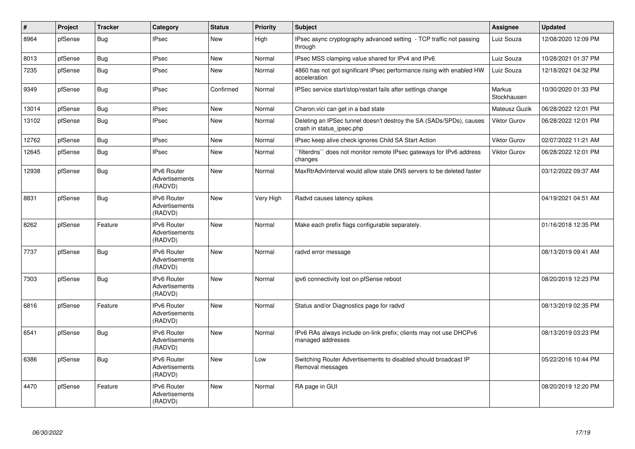| $\sharp$ | Project | <b>Tracker</b> | Category                                               | <b>Status</b> | <b>Priority</b> | <b>Subject</b>                                                                                   | Assignee              | <b>Updated</b>      |
|----------|---------|----------------|--------------------------------------------------------|---------------|-----------------|--------------------------------------------------------------------------------------------------|-----------------------|---------------------|
| 8964     | pfSense | Bug            | <b>IPsec</b>                                           | <b>New</b>    | High            | IPsec async cryptography advanced setting - TCP traffic not passing<br>through                   | Luiz Souza            | 12/08/2020 12:09 PM |
| 8013     | pfSense | <b>Bug</b>     | <b>IPsec</b>                                           | <b>New</b>    | Normal          | IPsec MSS clamping value shared for IPv4 and IPv6                                                | Luiz Souza            | 10/28/2021 01:37 PM |
| 7235     | pfSense | <b>Bug</b>     | <b>IPsec</b>                                           | <b>New</b>    | Normal          | 4860 has not got significant IPsec performance rising with enabled HW<br>acceleration            | Luiz Souza            | 12/18/2021 04:32 PM |
| 9349     | pfSense | <b>Bug</b>     | <b>IPsec</b>                                           | Confirmed     | Normal          | IPSec service start/stop/restart fails after settings change                                     | Markus<br>Stockhausen | 10/30/2020 01:33 PM |
| 13014    | pfSense | Bug            | <b>IPsec</b>                                           | <b>New</b>    | Normal          | Charon.vici can get in a bad state                                                               | Mateusz Guzik         | 06/28/2022 12:01 PM |
| 13102    | pfSense | <b>Bug</b>     | <b>IPsec</b>                                           | <b>New</b>    | Normal          | Deleting an IPSec tunnel doesn't destroy the SA (SADs/SPDs), causes<br>crash in status_ipsec.php | Viktor Gurov          | 06/28/2022 12:01 PM |
| 12762    | pfSense | Bug            | <b>IPsec</b>                                           | <b>New</b>    | Normal          | IPsec keep alive check ignores Child SA Start Action                                             | Viktor Gurov          | 02/07/2022 11:21 AM |
| 12645    | pfSense | <b>Bug</b>     | <b>IPsec</b>                                           | <b>New</b>    | Normal          | `filterdns`` does not monitor remote IPsec gateways for IPv6 address<br>changes                  | Viktor Gurov          | 06/28/2022 12:01 PM |
| 12938    | pfSense | <b>Bug</b>     | <b>IPv6 Router</b><br><b>Advertisements</b><br>(RADVD) | <b>New</b>    | Normal          | MaxRtrAdvInterval would allow stale DNS servers to be deleted faster                             |                       | 03/12/2022 09:37 AM |
| 8831     | pfSense | Bug            | <b>IPv6 Router</b><br>Advertisements<br>(RADVD)        | <b>New</b>    | Very High       | Radvd causes latency spikes                                                                      |                       | 04/19/2021 04:51 AM |
| 8262     | pfSense | Feature        | IPv6 Router<br>Advertisements<br>(RADVD)               | <b>New</b>    | Normal          | Make each prefix flags configurable separately.                                                  |                       | 01/16/2018 12:35 PM |
| 7737     | pfSense | Bug            | IPv6 Router<br><b>Advertisements</b><br>(RADVD)        | <b>New</b>    | Normal          | radvd error message                                                                              |                       | 08/13/2019 09:41 AM |
| 7303     | pfSense | <b>Bug</b>     | <b>IPv6 Router</b><br>Advertisements<br>(RADVD)        | <b>New</b>    | Normal          | ipv6 connectivity lost on pfSense reboot                                                         |                       | 08/20/2019 12:23 PM |
| 6816     | pfSense | Feature        | <b>IPv6 Router</b><br><b>Advertisements</b><br>(RADVD) | <b>New</b>    | Normal          | Status and/or Diagnostics page for radvd                                                         |                       | 08/13/2019 02:35 PM |
| 6541     | pfSense | Bug            | <b>IPv6 Router</b><br>Advertisements<br>(RADVD)        | <b>New</b>    | Normal          | IPv6 RAs always include on-link prefix; clients may not use DHCPv6<br>managed addresses          |                       | 08/13/2019 03:23 PM |
| 6386     | pfSense | <b>Bug</b>     | <b>IPv6 Router</b><br>Advertisements<br>(RADVD)        | <b>New</b>    | Low             | Switching Router Advertisements to disabled should broadcast IP<br>Removal messages              |                       | 05/22/2016 10:44 PM |
| 4470     | pfSense | Feature        | IPv6 Router<br>Advertisements<br>(RADVD)               | New           | Normal          | RA page in GUI                                                                                   |                       | 08/20/2019 12:20 PM |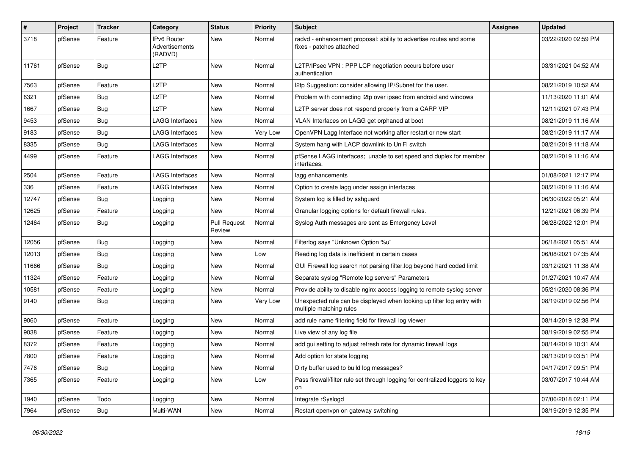| $\pmb{\#}$ | Project | <b>Tracker</b> | Category                                 | <b>Status</b>                 | <b>Priority</b> | Subject                                                                                           | <b>Assignee</b> | <b>Updated</b>      |
|------------|---------|----------------|------------------------------------------|-------------------------------|-----------------|---------------------------------------------------------------------------------------------------|-----------------|---------------------|
| 3718       | pfSense | Feature        | IPv6 Router<br>Advertisements<br>(RADVD) | New                           | Normal          | radvd - enhancement proposal: ability to advertise routes and some<br>fixes - patches attached    |                 | 03/22/2020 02:59 PM |
| 11761      | pfSense | Bug            | L <sub>2</sub> TP                        | New                           | Normal          | L2TP/IPsec VPN : PPP LCP negotiation occurs before user<br>authentication                         |                 | 03/31/2021 04:52 AM |
| 7563       | pfSense | Feature        | L2TP                                     | New                           | Normal          | I2tp Suggestion: consider allowing IP/Subnet for the user.                                        |                 | 08/21/2019 10:52 AM |
| 6321       | pfSense | Bug            | L <sub>2</sub> TP                        | New                           | Normal          | Problem with connecting I2tp over ipsec from android and windows                                  |                 | 11/13/2020 11:01 AM |
| 1667       | pfSense | Bug            | L2TP                                     | New                           | Normal          | L2TP server does not respond properly from a CARP VIP                                             |                 | 12/11/2021 07:43 PM |
| 9453       | pfSense | Bug            | LAGG Interfaces                          | New                           | Normal          | VLAN Interfaces on LAGG get orphaned at boot                                                      |                 | 08/21/2019 11:16 AM |
| 9183       | pfSense | Bug            | <b>LAGG Interfaces</b>                   | New                           | Very Low        | OpenVPN Lagg Interface not working after restart or new start                                     |                 | 08/21/2019 11:17 AM |
| 8335       | pfSense | Bug            | <b>LAGG Interfaces</b>                   | New                           | Normal          | System hang with LACP downlink to UniFi switch                                                    |                 | 08/21/2019 11:18 AM |
| 4499       | pfSense | Feature        | LAGG Interfaces                          | New                           | Normal          | pfSense LAGG interfaces; unable to set speed and duplex for member<br>interfaces.                 |                 | 08/21/2019 11:16 AM |
| 2504       | pfSense | Feature        | <b>LAGG Interfaces</b>                   | New                           | Normal          | lagg enhancements                                                                                 |                 | 01/08/2021 12:17 PM |
| 336        | pfSense | Feature        | LAGG Interfaces                          | New                           | Normal          | Option to create lagg under assign interfaces                                                     |                 | 08/21/2019 11:16 AM |
| 12747      | pfSense | Bug            | Logging                                  | New                           | Normal          | System log is filled by sshguard                                                                  |                 | 06/30/2022 05:21 AM |
| 12625      | pfSense | Feature        | Logging                                  | New                           | Normal          | Granular logging options for default firewall rules.                                              |                 | 12/21/2021 06:39 PM |
| 12464      | pfSense | Bug            | Logging                                  | <b>Pull Request</b><br>Review | Normal          | Syslog Auth messages are sent as Emergency Level                                                  |                 | 06/28/2022 12:01 PM |
| 12056      | pfSense | Bug            | Logging                                  | New                           | Normal          | Filterlog says "Unknown Option %u"                                                                |                 | 06/18/2021 05:51 AM |
| 12013      | pfSense | Bug            | Logging                                  | New                           | Low             | Reading log data is inefficient in certain cases                                                  |                 | 06/08/2021 07:35 AM |
| 11666      | pfSense | Bug            | Logging                                  | New                           | Normal          | GUI Firewall log search not parsing filter.log beyond hard coded limit                            |                 | 03/12/2021 11:38 AM |
| 11324      | pfSense | Feature        | Logging                                  | New                           | Normal          | Separate syslog "Remote log servers" Parameters                                                   |                 | 01/27/2021 10:47 AM |
| 10581      | pfSense | Feature        | Logging                                  | New                           | Normal          | Provide ability to disable nginx access logging to remote syslog server                           |                 | 05/21/2020 08:36 PM |
| 9140       | pfSense | Bug            | Logging                                  | New                           | Very Low        | Unexpected rule can be displayed when looking up filter log entry with<br>multiple matching rules |                 | 08/19/2019 02:56 PM |
| 9060       | pfSense | Feature        | Logging                                  | New                           | Normal          | add rule name filtering field for firewall log viewer                                             |                 | 08/14/2019 12:38 PM |
| 9038       | pfSense | Feature        | Logging                                  | New                           | Normal          | Live view of any log file                                                                         |                 | 08/19/2019 02:55 PM |
| 8372       | pfSense | Feature        | Logging                                  | <b>New</b>                    | Normal          | add gui setting to adjust refresh rate for dynamic firewall logs                                  |                 | 08/14/2019 10:31 AM |
| 7800       | pfSense | Feature        | Logging                                  | New                           | Normal          | Add option for state logging                                                                      |                 | 08/13/2019 03:51 PM |
| 7476       | pfSense | Bug            | Logging                                  | New                           | Normal          | Dirty buffer used to build log messages?                                                          |                 | 04/17/2017 09:51 PM |
| 7365       | pfSense | Feature        | Logging                                  | New                           | Low             | Pass firewall/filter rule set through logging for centralized loggers to key<br>on                |                 | 03/07/2017 10:44 AM |
| 1940       | pfSense | Todo           | Logging                                  | New                           | Normal          | Integrate rSyslogd                                                                                |                 | 07/06/2018 02:11 PM |
| 7964       | pfSense | <b>Bug</b>     | Multi-WAN                                | New                           | Normal          | Restart openvpn on gateway switching                                                              |                 | 08/19/2019 12:35 PM |